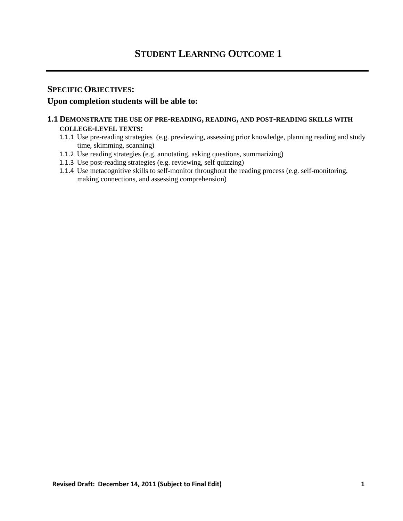# **SPECIFIC OBJECTIVES:**

# **Upon completion students will be able to:**

# **1.1 DEMONSTRATE THE USE OF PRE-READING, READING, AND POST-READING SKILLS WITH**

### **COLLEGE-LEVEL TEXTS:**

- 1.1.1 Use pre-reading strategies (e.g. previewing, assessing prior knowledge, planning reading and study time, skimming, scanning)
- 1.1.2 Use reading strategies (e.g. annotating, asking questions, summarizing)
- 1.1.3 Use post-reading strategies (e.g. reviewing, self quizzing)
- 1.1.4 Use metacognitive skills to self-monitor throughout the reading process (e.g. self-monitoring, making connections, and assessing comprehension)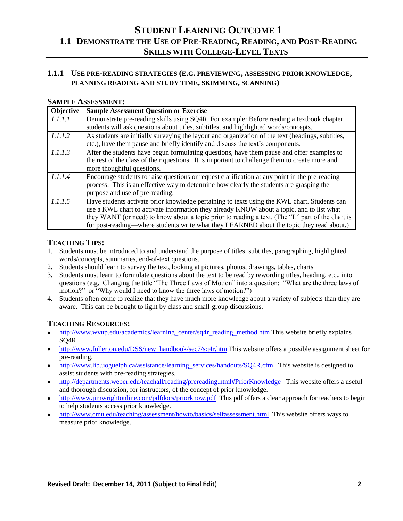# **1.1.1 USE PRE-READING STRATEGIES (E.G. PREVIEWING, ASSESSING PRIOR KNOWLEDGE, PLANNING READING AND STUDY TIME, SKIMMING, SCANNING)**

#### **SAMPLE ASSESSMENT:**

| Objective | <b>Sample Assessment Question or Exercise</b>                                                     |
|-----------|---------------------------------------------------------------------------------------------------|
| 1.1.1.1   | Demonstrate pre-reading skills using SQ4R. For example: Before reading a textbook chapter,        |
|           | students will ask questions about titles, subtitles, and highlighted words/concepts.              |
| 1.1.1.2   | As students are initially surveying the layout and organization of the text (headings, subtitles, |
|           | etc.), have them pause and briefly identify and discuss the text's components.                    |
| 1.1.1.3   | After the students have begun formulating questions, have them pause and offer examples to        |
|           | the rest of the class of their questions. It is important to challenge them to create more and    |
|           | more thoughtful questions.                                                                        |
| 1.1.1.4   | Encourage students to raise questions or request clarification at any point in the pre-reading    |
|           | process. This is an effective way to determine how clearly the students are grasping the          |
|           | purpose and use of pre-reading.                                                                   |
| 1.1.1.5   | Have students activate prior knowledge pertaining to texts using the KWL chart. Students can      |
|           | use a KWL chart to activate information they already KNOW about a topic, and to list what         |
|           | they WANT (or need) to know about a topic prior to reading a text. (The "L" part of the chart is  |
|           | for post-reading—where students write what they LEARNED about the topic they read about.)         |

# **TEACHING TIPS:**

- 1. Students must be introduced to and understand the purpose of titles, subtitles, paragraphing, highlighted words/concepts, summaries, end-of-text questions.
- 2. Students should learn to survey the text, looking at pictures, photos, drawings, tables, charts
- 3. Students must learn to formulate questions about the text to be read by rewording titles, heading, etc., into questions (e.g. Changing the title "The Three Laws of Motion" into a question: "What are the three laws of motion?" or "Why would I need to know the three laws of motion?")
- 4. Students often come to realize that they have much more knowledge about a variety of subjects than they are aware. This can be brought to light by class and small-group discussions.

- [http://www.wvup.edu/academics/learning\\_center/sq4r\\_reading\\_method.htm](http://www.wvup.edu/academics/learning_center/sq4r_reading_method.htm) This website briefly explains SQ4R.
- [http://www.fullerton.edu/DSS/new\\_handbook/sec7/sq4r.htm](http://www.fullerton.edu/DSS/new_handbook/sec7/sq4r.htm) This website offers a possible assignment sheet for pre-reading.
- [http://www.lib.uoguelph.ca/assistance/learning\\_services/handouts/SQ4R.cfm](http://www.lib.uoguelph.ca/assistance/learning_services/handouts/SQ4R.cfm) This website is designed to assist students with pre-reading strategies.
- <http://departments.weber.edu/teachall/reading/prereading.html#PriorKnowledge>This website offers a useful and thorough discussion, for instructors, of the concept of prior knowledge.
- <http://www.jimwrightonline.com/pdfdocs/priorknow.pdf>This pdf offers a clear approach for teachers to begin to help students access prior knowledge.
- <http://www.cmu.edu/teaching/assessment/howto/basics/selfassessment.html>This website offers ways to measure prior knowledge.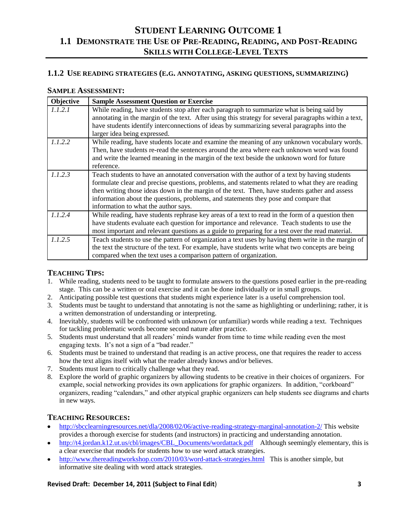### **1.1.2 USE READING STRATEGIES (E.G. ANNOTATING, ASKING QUESTIONS, SUMMARIZING)**

#### **SAMPLE ASSESSMENT:**

| Objective | <b>Sample Assessment Question or Exercise</b>                                                                                                                                                                                                                                                                                                                                                                                       |
|-----------|-------------------------------------------------------------------------------------------------------------------------------------------------------------------------------------------------------------------------------------------------------------------------------------------------------------------------------------------------------------------------------------------------------------------------------------|
| 1.1.2.1   | While reading, have students stop after each paragraph to summarize what is being said by<br>annotating in the margin of the text. After using this strategy for several paragraphs within a text,<br>have students identify interconnections of ideas by summarizing several paragraphs into the<br>larger idea being expressed.                                                                                                   |
| 1.1.2.2   | While reading, have students locate and examine the meaning of any unknown vocabulary words.<br>Then, have students re-read the sentences around the area where each unknown word was found<br>and write the learned meaning in the margin of the text beside the unknown word for future<br>reference.                                                                                                                             |
| 1.1.2.3   | Teach students to have an annotated conversation with the author of a text by having students<br>formulate clear and precise questions, problems, and statements related to what they are reading<br>then writing those ideas down in the margin of the text. Then, have students gather and assess<br>information about the questions, problems, and statements they pose and compare that<br>information to what the author says. |
| 1.1.2.4   | While reading, have students rephrase key areas of a text to read in the form of a question then<br>have students evaluate each question for importance and relevance. Teach students to use the<br>most important and relevant questions as a guide to preparing for a test over the read material.                                                                                                                                |
| 1.1.2.5   | Teach students to use the pattern of organization a text uses by having them write in the margin of<br>the text the structure of the text. For example, have students write what two concepts are being<br>compared when the text uses a comparison pattern of organization.                                                                                                                                                        |

# **TEACHING TIPS:**

- 1. While reading, students need to be taught to formulate answers to the questions posed earlier in the pre-reading stage. This can be a written or oral exercise and it can be done individually or in small groups.
- 2. Anticipating possible test questions that students might experience later is a useful comprehension tool.
- 3. Students must be taught to understand that annotating is not the same as highlighting or underlining; rather, it is a written demonstration of understanding or interpreting.
- 4. Inevitably, students will be confronted with unknown (or unfamiliar) words while reading a text. Techniques for tackling problematic words become second nature after practice.
- 5. Students must understand that all readers' minds wander from time to time while reading even the most engaging texts. It's not a sign of a "bad reader."
- 6. Students must be trained to understand that reading is an active process, one that requires the reader to access how the text aligns itself with what the reader already knows and/or believes.
- 7. Students must learn to critically challenge what they read.
- 8. Explore the world of graphic organizers by allowing students to be creative in their choices of organizers. For example, social networking provides its own applications for graphic organizers. In addition, "corkboard" organizers, reading "calendars," and other atypical graphic organizers can help students see diagrams and charts in new ways.

# **TEACHING RESOURCES:**

- <http://sbcclearningresources.net/dla/2008/02/06/active-reading-strategy-marginal-annotation-2/> This website provides a thorough exercise for students (and instructors) in practicing and understanding annotation.
- [http://t4.jordan.k12.ut.us/cbl/images/CBL\\_Documents/wordattack.pdf](http://t4.jordan.k12.ut.us/cbl/images/CBL_Documents/wordattack.pdf) Although seemingly elementary, this is a clear exercise that models for students how to use word attack strategies.
- <http://www.thereadingworkshop.com/2010/03/word-attack-strategies.html>This is another simple, but informative site dealing with word attack strategies.

#### **Revised Draft: December 14, 2011 (Subject to Final Edit**) **3**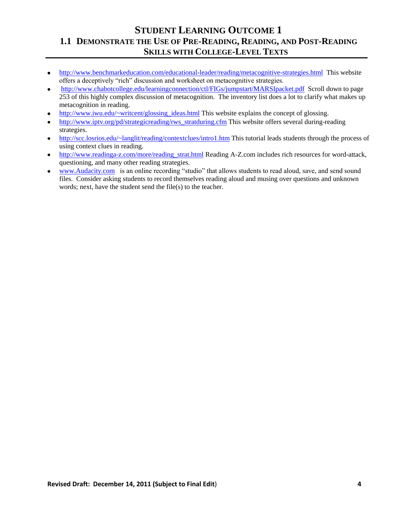- <http://www.benchmarkeducation.com/educational-leader/reading/metacognitive-strategies.html> This website offers a deceptively "rich" discussion and worksheet on metacognitive strategies.
- <http://www.chabotcollege.edu/learningconnection/ctl/FIGs/jumpstart/MARSIpacket.pdf>Scroll down to page 253 of this highly complex discussion of metacognition. The inventory list does a lot to clarify what makes up metacognition in reading.
- [http://www.iwu.edu/~writcent/glossing\\_ideas.html](http://www.iwu.edu/~writcent/glossing_ideas.html) This website explains the concept of glossing.
- [http://www.iptv.org/pd/strategicreading/rws\\_stratduring.cfm](http://www.iptv.org/pd/strategicreading/rws_stratduring.cfm) This website offers several during-reading  $\bullet$ strategies.
- <http://scc.losrios.edu/~langlit/reading/contextclues/intro1.htm> This tutorial leads students through the process of  $\bullet$ using context clues in reading.
- [http://www.readinga-z.com/more/reading\\_strat.html](http://www.readinga-z.com/more/reading_strat.html) Reading A-Z.com includes rich resources for word-attack, questioning, and many other reading strategies.
- [www.Audacity.com](http://www.audacity.com/) is an online recording "studio" that allows students to read aloud, save, and send sound files. Consider asking students to record themselves reading aloud and musing over questions and unknown words; next, have the student send the file(s) to the teacher.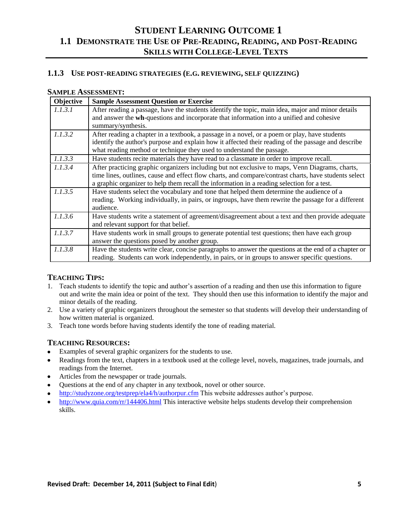### **1.1.3 USE POST-READING STRATEGIES (E.G. REVIEWING, SELF QUIZZING)**

#### **SAMPLE ASSESSMENT:**

| Objective | <b>Sample Assessment Question or Exercise</b>                                                                                                                                                                                                                                                          |
|-----------|--------------------------------------------------------------------------------------------------------------------------------------------------------------------------------------------------------------------------------------------------------------------------------------------------------|
| 1.1.3.1   | After reading a passage, have the students identify the topic, main idea, major and minor details<br>and answer the wh-questions and incorporate that information into a unified and cohesive<br>summary/synthesis.                                                                                    |
| 1.1.3.2   | After reading a chapter in a textbook, a passage in a novel, or a poem or play, have students<br>identify the author's purpose and explain how it affected their reading of the passage and describe<br>what reading method or technique they used to understand the passage.                          |
| 1.1.3.3   | Have students recite materials they have read to a classmate in order to improve recall.                                                                                                                                                                                                               |
| 1.1.3.4   | After practicing graphic organizers including but not exclusive to maps, Venn Diagrams, charts,<br>time lines, outlines, cause and effect flow charts, and compare/contrast charts, have students select<br>a graphic organizer to help them recall the information in a reading selection for a test. |
| 1.1.3.5   | Have students select the vocabulary and tone that helped them determine the audience of a<br>reading. Working individually, in pairs, or ingroups, have them rewrite the passage for a different<br>audience.                                                                                          |
| 1.1.3.6   | Have students write a statement of agreement/disagreement about a text and then provide adequate<br>and relevant support for that belief.                                                                                                                                                              |
| 1.1.3.7   | Have students work in small groups to generate potential test questions; then have each group<br>answer the questions posed by another group.                                                                                                                                                          |
| 1.1.3.8   | Have the students write clear, concise paragraphs to answer the questions at the end of a chapter or<br>reading. Students can work independently, in pairs, or in groups to answer specific questions.                                                                                                 |

#### **TEACHING TIPS:**

- 1. Teach students to identify the topic and author's assertion of a reading and then use this information to figure out and write the main idea or point of the text. They should then use this information to identify the major and minor details of the reading.
- 2. Use a variety of graphic organizers throughout the semester so that students will develop their understanding of how written material is organized.
- 3. Teach tone words before having students identify the tone of reading material.

- Examples of several graphic organizers for the students to use.
- Readings from the text, chapters in a textbook used at the college level, novels, magazines, trade journals, and readings from the Internet.
- Articles from the newspaper or trade journals.
- Questions at the end of any chapter in any textbook, novel or other source.
- <http://studyzone.org/testprep/ela4/h/authorpur.cfm> This website addresses author's purpose.  $\bullet$
- <http://www.quia.com/rr/144406.html> This interactive website helps students develop their comprehension  $\bullet$ skills.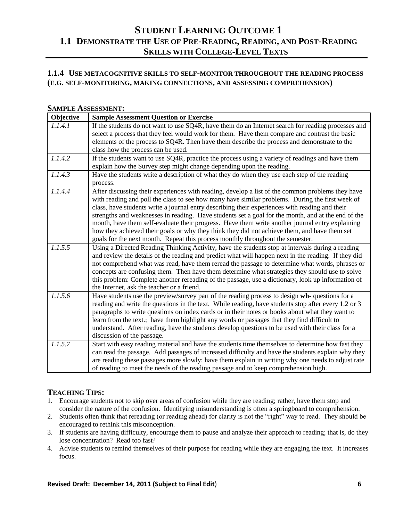# **1.1.4 USE METACOGNITIVE SKILLS TO SELF-MONITOR THROUGHOUT THE READING PROCESS (E.G. SELF-MONITORING, MAKING CONNECTIONS, AND ASSESSING COMPREHENSION)**

#### **SAMPLE ASSESSMENT:**

| Objective | <b>Sample Assessment Question or Exercise</b>                                                       |
|-----------|-----------------------------------------------------------------------------------------------------|
| 1.1.4.1   | If the students do not want to use SQ4R, have them do an Internet search for reading processes and  |
|           | select a process that they feel would work for them. Have them compare and contrast the basic       |
|           | elements of the process to SQ4R. Then have them describe the process and demonstrate to the         |
|           | class how the process can be used.                                                                  |
| 1.1.4.2   | If the students want to use SQ4R, practice the process using a variety of readings and have them    |
|           | explain how the Survey step might change depending upon the reading.                                |
| 1.1.4.3   | Have the students write a description of what they do when they use each step of the reading        |
|           | process.                                                                                            |
| 1.1.4.4   | After discussing their experiences with reading, develop a list of the common problems they have    |
|           | with reading and poll the class to see how many have similar problems. During the first week of     |
|           | class, have students write a journal entry describing their experiences with reading and their      |
|           | strengths and weaknesses in reading. Have students set a goal for the month, and at the end of the  |
|           | month, have them self-evaluate their progress. Have them write another journal entry explaining     |
|           | how they achieved their goals or why they think they did not achieve them, and have them set        |
|           | goals for the next month. Repeat this process monthly throughout the semester.                      |
| 1.1.5.5   | Using a Directed Reading Thinking Activity, have the students stop at intervals during a reading    |
|           | and review the details of the reading and predict what will happen next in the reading. If they did |
|           | not comprehend what was read, have them reread the passage to determine what words, phrases or      |
|           | concepts are confusing them. Then have them determine what strategies they should use to solve      |
|           | this problem: Complete another rereading of the passage, use a dictionary, look up information of   |
|           | the Internet, ask the teacher or a friend.                                                          |
| 1.1.5.6   | Have students use the preview/survey part of the reading process to design wh-questions for a       |
|           | reading and write the questions in the text. While reading, have students stop after every 1,2 or 3 |
|           | paragraphs to write questions on index cards or in their notes or books about what they want to     |
|           | learn from the text.; have them highlight any words or passages that they find difficult to         |
|           | understand. After reading, have the students develop questions to be used with their class for a    |
|           | discussion of the passage.                                                                          |
| 1.1.5.7   | Start with easy reading material and have the students time themselves to determine how fast they   |
|           | can read the passage. Add passages of increased difficulty and have the students explain why they   |
|           | are reading these passages more slowly; have them explain in writing why one needs to adjust rate   |
|           | of reading to meet the needs of the reading passage and to keep comprehension high.                 |

- 1. Encourage students not to skip over areas of confusion while they are reading; rather, have them stop and consider the nature of the confusion. Identifying misunderstanding is often a springboard to comprehension.
- 2. Students often think that rereading (or reading ahead) for clarity is not the "right" way to read. They should be encouraged to rethink this misconception.
- 3. If students are having difficulty, encourage them to pause and analyze their approach to reading; that is, do they lose concentration? Read too fast?
- 4. Advise students to remind themselves of their purpose for reading while they are engaging the text. It increases focus.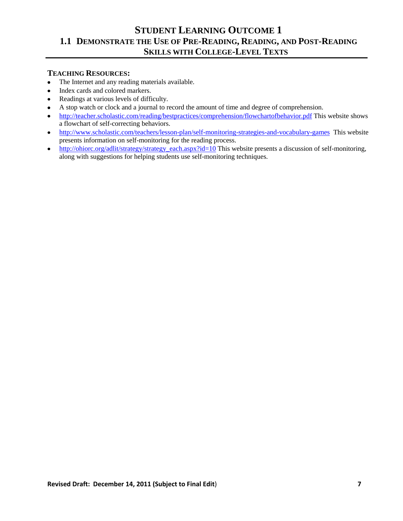- The Internet and any reading materials available.  $\bullet$
- Index cards and colored markers.  $\bullet$
- Readings at various levels of difficulty.  $\bullet$
- A stop watch or clock and a journal to record the amount of time and degree of comprehension.  $\bullet$
- <http://teacher.scholastic.com/reading/bestpractices/comprehension/flowchartofbehavior.pdf> This website shows  $\bullet$ a flowchart of self-correcting behaviors.
- <http://www.scholastic.com/teachers/lesson-plan/self-monitoring-strategies-and-vocabulary-games>This website  $\bullet$ presents information on self-monitoring for the reading process.
- [http://ohiorc.org/adlit/strategy/strategy\\_each.aspx?id=10](http://ohiorc.org/adlit/strategy/strategy_each.aspx?id=10) This website presents a discussion of self-monitoring,  $\bullet$ along with suggestions for helping students use self-monitoring techniques.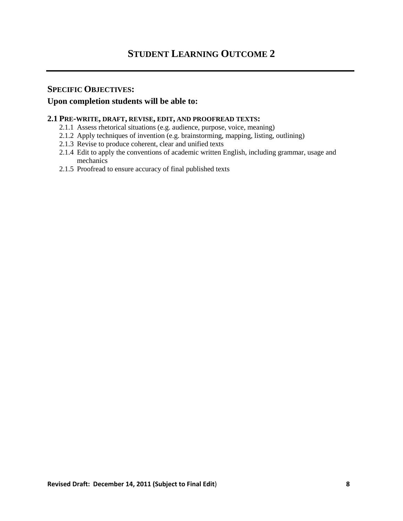# **SPECIFIC OBJECTIVES:**

# **Upon completion students will be able to:**

### **2.1 PRE-WRITE, DRAFT, REVISE, EDIT, AND PROOFREAD TEXTS:**

- 2.1.1 Assess rhetorical situations (e.g. audience, purpose, voice, meaning)
- 2.1.2 Apply techniques of invention (e.g. brainstorming, mapping, listing, outlining)
- 2.1.3 Revise to produce coherent, clear and unified texts
- 2.1.4 Edit to apply the conventions of academic written English, including grammar, usage and mechanics
- 2.1.5 Proofread to ensure accuracy of final published texts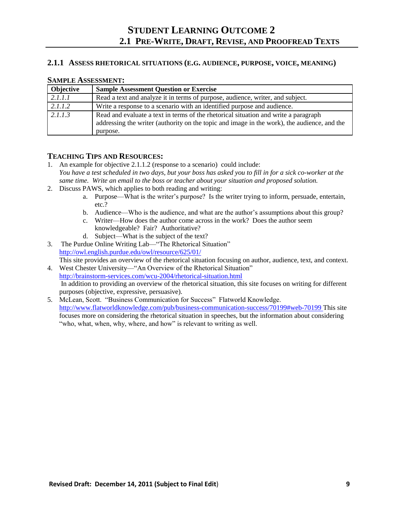### **2.1.1 ASSESS RHETORICAL SITUATIONS (E.G. AUDIENCE, PURPOSE, VOICE, MEANING)**

| <b>Objective</b> | <b>Sample Assessment Question or Exercise</b>                                                                                                                                                  |
|------------------|------------------------------------------------------------------------------------------------------------------------------------------------------------------------------------------------|
| 2.1.1.1          | Read a text and analyze it in terms of purpose, audience, writer, and subject.                                                                                                                 |
| 2.1.1.2          | Write a response to a scenario with an identified purpose and audience.                                                                                                                        |
| 2.1.1.3          | Read and evaluate a text in terms of the rhetorical situation and write a paragraph<br>addressing the writer (authority on the topic and image in the work), the audience, and the<br>purpose. |

#### **SAMPLE ASSESSMENT:**

- 1. An example for objective 2.1.1.2 (response to a scenario) could include: *You have a test scheduled in two days, but your boss has asked you to fill in for a sick co-worker at the same time. Write an email to the boss or teacher about your situation and proposed solution.*
- 2. Discuss PAWS, which applies to both reading and writing:
	- a. Purpose—What is the writer's purpose? Is the writer trying to inform, persuade, entertain, etc.?
	- b. Audience—Who is the audience, and what are the author's assumptions about this group?
	- c. Writer—How does the author come across in the work? Does the author seem knowledgeable? Fair? Authoritative?
	- d. Subject—What is the subject of the text?
- 3. The Purdue Online Writing Lab—"The Rhetorical Situation" <http://owl.english.purdue.edu/owl/resource/625/01/> This site provides an overview of the rhetorical situation focusing on author, audience, text, and context.
- 4. West Chester University—"An Overview of the Rhetorical Situation" <http://brainstorm-services.com/wcu-2004/rhetorical-situation.html> In addition to providing an overview of the rhetorical situation, this site focuses on writing for different purposes (objective, expressive, persuasive).
- 5. McLean, Scott. "Business Communication for Success" Flatworld Knowledge. <http://www.flatworldknowledge.com/pub/business-communication-success/70199#web-70199> This site focuses more on considering the rhetorical situation in speeches, but the information about considering "who, what, when, why, where, and how" is relevant to writing as well.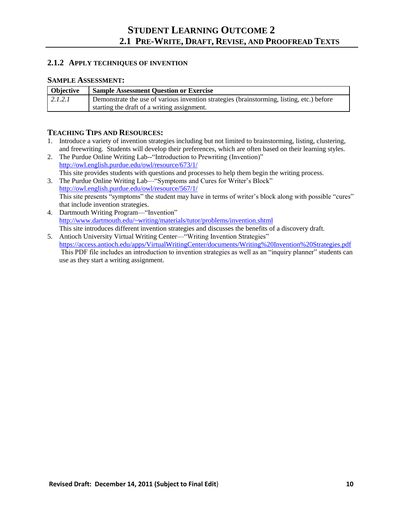### **2.1.2 APPLY TECHNIQUES OF INVENTION**

#### **SAMPLE ASSESSMENT:**

| <b>Objective</b> | <b>Sample Assessment Question or Exercise</b>                                             |
|------------------|-------------------------------------------------------------------------------------------|
| 2.1.2.1          | Demonstrate the use of various invention strategies (brainstorming, listing, etc.) before |
|                  | starting the draft of a writing assignment.                                               |

- 1. Introduce a variety of invention strategies including but not limited to brainstorming, listing, clustering, and freewriting. Students will develop their preferences, which are often based on their learning styles.
- 2. The Purdue Online Writing Lab--"Introduction to Prewriting (Invention)" <http://owl.english.purdue.edu/owl/resource/673/1/> This site provides students with questions and processes to help them begin the writing process.
- 3. The Purdue Online Writing Lab—"Symptoms and Cures for Writer's Block" <http://owl.english.purdue.edu/owl/resource/567/1/> This site presents "symptoms" the student may have in terms of writer's block along with possible "cures" that include invention strategies.
- 4. Dartmouth Writing Program—"Invention" <http://www.dartmouth.edu/~writing/materials/tutor/problems/invention.shtml> This site introduces different invention strategies and discusses the benefits of a discovery draft.
- 5. Antioch University Virtual Writing Center—"Writing Invention Strategies" <https://access.antioch.edu/apps/VirtualWritingCenter/documents/Writing%20Invention%20Strategies.pdf> This PDF file includes an introduction to invention strategies as well as an "inquiry planner" students can use as they start a writing assignment.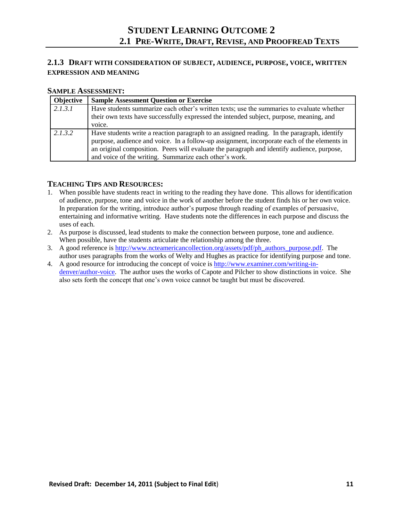# **2.1.3 DRAFT WITH CONSIDERATION OF SUBJECT, AUDIENCE, PURPOSE, VOICE, WRITTEN EXPRESSION AND MEANING**

### **SAMPLE ASSESSMENT:**

| Objective | <b>Sample Assessment Question or Exercise</b>                                                                                                                                                                                                                                                                                                      |
|-----------|----------------------------------------------------------------------------------------------------------------------------------------------------------------------------------------------------------------------------------------------------------------------------------------------------------------------------------------------------|
| 2.1.3.1   | Have students summarize each other's written texts; use the summaries to evaluate whether<br>their own texts have successfully expressed the intended subject, purpose, meaning, and<br>voice.                                                                                                                                                     |
| 2.1.3.2   | Have students write a reaction paragraph to an assigned reading. In the paragraph, identify<br>purpose, audience and voice. In a follow-up assignment, incorporate each of the elements in<br>an original composition. Peers will evaluate the paragraph and identify audience, purpose,<br>and voice of the writing. Summarize each other's work. |

- 1. When possible have students react in writing to the reading they have done. This allows for identification of audience, purpose, tone and voice in the work of another before the student finds his or her own voice. In preparation for the writing, introduce author's purpose through reading of examples of persuasive, entertaining and informative writing. Have students note the differences in each purpose and discuss the uses of each.
- 2. As purpose is discussed, lead students to make the connection between purpose, tone and audience. When possible, have the students articulate the relationship among the three.
- 3. A good reference is [http://www.ncteamericancollection.org/assets/pdf/ph\\_authors\\_purpose.pdf.](http://www.ncteamericancollection.org/assets/pdf/ph_authors_purpose.pdf) The author uses paragraphs from the works of Welty and Hughes as practice for identifying purpose and tone.
- 4. A good resource for introducing the concept of voice is [http://www.examiner.com/writing-in](http://www.examiner.com/writing-in-denver/author-voice)[denver/author-voice.](http://www.examiner.com/writing-in-denver/author-voice) The author uses the works of Capote and Pilcher to show distinctions in voice. She also sets forth the concept that one's own voice cannot be taught but must be discovered.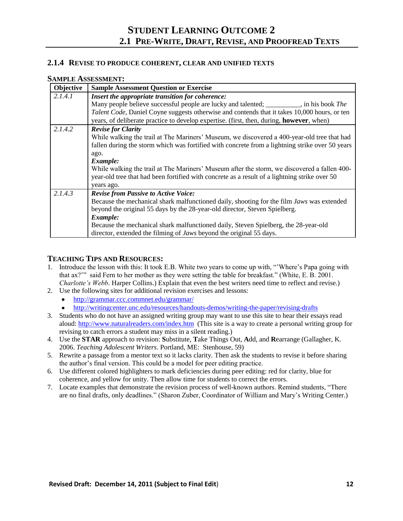### **2.1.4 REVISE TO PRODUCE COHERENT, CLEAR AND UNIFIED TEXTS**

| Objective | <b>Sample Assessment Question or Exercise</b>                                                    |
|-----------|--------------------------------------------------------------------------------------------------|
| 2.1.4.1   | Insert the appropriate transition for coherence:                                                 |
|           | Many people believe successful people are lucky and talented; ________, in his book The          |
|           | Talent Code, Daniel Coyne suggests otherwise and contends that it takes 10,000 hours, or ten     |
|           | years, of deliberate practice to develop expertise. (first, then, during, <b>however</b> , when) |
| 2.1.4.2   | <b>Revise for Clarity</b>                                                                        |
|           | While walking the trail at The Mariners' Museum, we discovered a 400-year-old tree that had      |
|           | fallen during the storm which was fortified with concrete from a lightning strike over 50 years  |
|           | ago.                                                                                             |
|           | Example:                                                                                         |
|           | While walking the trail at The Mariners' Museum after the storm, we discovered a fallen 400-     |
|           | year-old tree that had been fortified with concrete as a result of a lightning strike over 50    |
|           | years ago.                                                                                       |
| 2.1.4.3   | <b>Revise from Passive to Active Voice:</b>                                                      |
|           | Because the mechanical shark malfunctioned daily, shooting for the film Jaws was extended        |
|           | beyond the original 55 days by the 28-year-old director, Steven Spielberg.                       |
|           | Example:                                                                                         |
|           | Because the mechanical shark malfunctioned daily, Steven Spielberg, the 28-year-old              |
|           | director, extended the filming of <i>Jaws</i> beyond the original 55 days.                       |

#### **SAMPLE ASSESSMENT:**

- 1. Introduce the lesson with this: It took E.B. White two years to come up with, "Where's Papa going with that ax?" said Fern to her mother as they were setting the table for breakfast." (White, E. B. 2001. *Charlotte's Webb*. Harper Collins.) Explain that even the best writers need time to reflect and revise.)
- 2. Use the following sites for additional revision exercises and lessons:
	- <http://grammar.ccc.commnet.edu/grammar/>  $\bullet$
	- <http://writingcenter.unc.edu/resources/handouts-demos/writing-the-paper/revising-drafts>
- 3. Students who do not have an assigned writing group may want to use this site to hear their essays read aloud:<http://www.naturalreaders.com/index.htm>(This site is a way to create a personal writing group for revising to catch errors a student may miss in a silent reading.)
- 4. Use the **STAR** approach to revision: **S**ubstitute, **T**ake Things Out, **A**dd, and **R**earrange (Gallagher, K. 2006. *Teaching Adolescent Writers*. Portland, ME: Stenhouse, 59)
- 5. Rewrite a passage from a mentor text so it lacks clarity. Then ask the students to revise it before sharing the author's final version. This could be a model for peer editing practice.
- 6. Use different colored highlighters to mark deficiencies during peer editing: red for clarity, blue for coherence, and yellow for unity. Then allow time for students to correct the errors.
- 7. Locate examples that demonstrate the revision process of well-known authors. Remind students, "There are no final drafts, only deadlines." (Sharon Zuber, Coordinator of William and Mary's Writing Center.)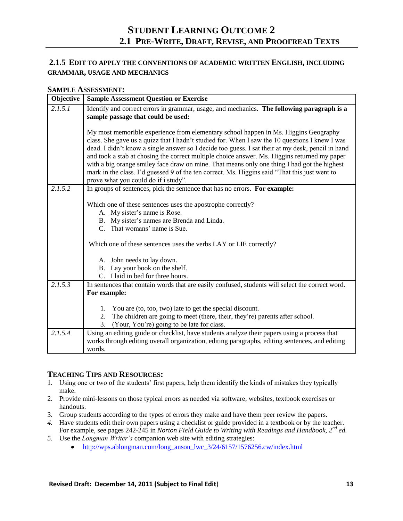# **2.1.5 EDIT TO APPLY THE CONVENTIONS OF ACADEMIC WRITTEN ENGLISH, INCLUDING GRAMMAR, USAGE AND MECHANICS**

#### **SAMPLE ASSESSMENT:**

| Objective | <b>Sample Assessment Question or Exercise</b>                                                                                                                                                                                                                                                                                                                                                                                                                                                                                                                                                                                      |
|-----------|------------------------------------------------------------------------------------------------------------------------------------------------------------------------------------------------------------------------------------------------------------------------------------------------------------------------------------------------------------------------------------------------------------------------------------------------------------------------------------------------------------------------------------------------------------------------------------------------------------------------------------|
| 2.1.5.1   | Identify and correct errors in grammar, usage, and mechanics. The following paragraph is a<br>sample passage that could be used:                                                                                                                                                                                                                                                                                                                                                                                                                                                                                                   |
|           | My most memorible experience from elementary school happen in Ms. Higgins Geography<br>class. She gave us a quizz that I hadn't studied for. When I saw the 10 questions I knew I was<br>dead. I didn't know a single answer so I decide too guess. I sat their at my desk, pencil in hand<br>and took a stab at chosing the correct multiple choice answer. Ms. Higgins returned my paper<br>with a big orange smiley face draw on mine. That means only one thing I had got the highest<br>mark in the class. I'd guessed 9 of the ten correct. Ms. Higgins said "That this just went to<br>prove what you could do if i study". |
| 2.1.5.2   | In groups of sentences, pick the sentence that has no errors. For example:                                                                                                                                                                                                                                                                                                                                                                                                                                                                                                                                                         |
|           | Which one of these sentences uses the apostrophe correctly?<br>A. My sister's name is Rose.                                                                                                                                                                                                                                                                                                                                                                                                                                                                                                                                        |
|           | B. My sister's names are Brenda and Linda.                                                                                                                                                                                                                                                                                                                                                                                                                                                                                                                                                                                         |
|           | C. That womans' name is Sue.                                                                                                                                                                                                                                                                                                                                                                                                                                                                                                                                                                                                       |
|           | Which one of these sentences uses the verbs LAY or LIE correctly?                                                                                                                                                                                                                                                                                                                                                                                                                                                                                                                                                                  |
|           | A. John needs to lay down.                                                                                                                                                                                                                                                                                                                                                                                                                                                                                                                                                                                                         |
|           | B. Lay your book on the shelf.                                                                                                                                                                                                                                                                                                                                                                                                                                                                                                                                                                                                     |
|           | C. I laid in bed for three hours.                                                                                                                                                                                                                                                                                                                                                                                                                                                                                                                                                                                                  |
| 2.1.5.3   | In sentences that contain words that are easily confused, students will select the correct word.                                                                                                                                                                                                                                                                                                                                                                                                                                                                                                                                   |
|           | For example:                                                                                                                                                                                                                                                                                                                                                                                                                                                                                                                                                                                                                       |
|           | 1. You are (to, too, two) late to get the special discount.                                                                                                                                                                                                                                                                                                                                                                                                                                                                                                                                                                        |
|           | 2. The children are going to meet (there, their, they're) parents after school.                                                                                                                                                                                                                                                                                                                                                                                                                                                                                                                                                    |
|           | 3.<br>(Your, You're) going to be late for class.                                                                                                                                                                                                                                                                                                                                                                                                                                                                                                                                                                                   |
| 2.1.5.4   | Using an editing guide or checklist, have students analyze their papers using a process that<br>works through editing overall organization, editing paragraphs, editing sentences, and editing<br>words.                                                                                                                                                                                                                                                                                                                                                                                                                           |

- 1. Using one or two of the students' first papers, help them identify the kinds of mistakes they typically make.
- 2. Provide mini-lessons on those typical errors as needed via software, websites, textbook exercises or handouts.
- 3. Group students according to the types of errors they make and have them peer review the papers.
- *4.* Have students edit their own papers using a checklist or guide provided in a textbook or by the teacher. For example, see pages 242-245 in *Norton Field Guide to Writing with Readings and Handbook, 2nd ed.*
- *5.* Use the *Longman Writer's* companion web site with editing strategies:
	- [http://wps.ablongman.com/long\\_anson\\_lwc\\_3/24/6157/1576256.cw/index.html](http://wps.ablongman.com/long_anson_lwc_3/24/6157/1576256.cw/index.html)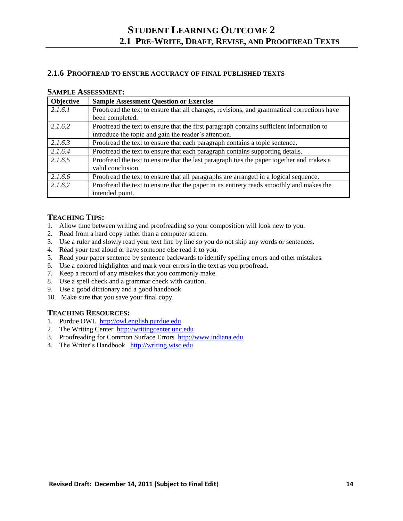# **2.1.6 PROOFREAD TO ENSURE ACCURACY OF FINAL PUBLISHED TEXTS**

#### **SAMPLE ASSESSMENT:**

| Objective | <b>Sample Assessment Question or Exercise</b>                                              |
|-----------|--------------------------------------------------------------------------------------------|
| 2.1.6.1   | Proofread the text to ensure that all changes, revisions, and grammatical corrections have |
|           | been completed.                                                                            |
| 2.1.6.2   | Proofread the text to ensure that the first paragraph contains sufficient information to   |
|           | introduce the topic and gain the reader's attention.                                       |
| 2.1.6.3   | Proofread the text to ensure that each paragraph contains a topic sentence.                |
| 2.1.6.4   | Proofread the text to ensure that each paragraph contains supporting details.              |
| 2.1.6.5   | Proofread the text to ensure that the last paragraph ties the paper together and makes a   |
|           | valid conclusion.                                                                          |
| 2.1.6.6   | Proofread the text to ensure that all paragraphs are arranged in a logical sequence.       |
| 2.1.6.7   | Proofread the text to ensure that the paper in its entirety reads smoothly and makes the   |
|           | intended point.                                                                            |

# **TEACHING TIPS:**

- 1. Allow time between writing and proofreading so your composition will look new to you.
- 2. Read from a hard copy rather than a computer screen.
- 3. Use a ruler and slowly read your text line by line so you do not skip any words or sentences.
- 4. Read your text aloud or have someone else read it to you.
- 5. Read your paper sentence by sentence backwards to identify spelling errors and other mistakes.
- 6. Use a colored highlighter and mark your errors in the text as you proofread.
- 7. Keep a record of any mistakes that you commonly make.
- 8. Use a spell check and a grammar check with caution.
- 9. Use a good dictionary and a good handbook.
- 10. Make sure that you save your final copy.

- 1. Purdue OWL [http://owl.english.purdue.edu](http://owl.english.purdue.edu/)
- 2. The Writing Center [http://writingcenter.unc.edu](http://writingcenter.unc.edu/)
- 3. Proofreading for Common Surface Errors [http://www.indiana.edu](http://www.indiana.edu/)
- 4. The Writer's Handbook [http://writing.wisc.edu](http://writing.wisc.edu/)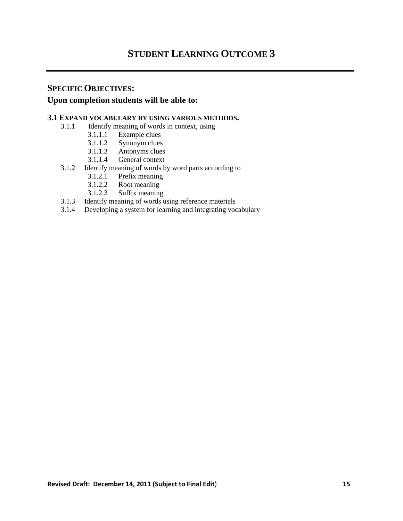# **STUDENT LEARNING OUTCOME 3**

# **SPECIFIC OBJECTIVES:**

# **Upon completion students will be able to:**

### **3.1 EXPAND VOCABULARY BY USING VARIOUS METHODS.**

- 3.1.1 Identify meaning of words in context, using
	- 3.1.1.1 Example clues
	- 3.1.1.2 Synonym clues
	- 3.1.1.3 Antonyms clues
	- 3.1.1.4 General context
- 3.1.2 Identify meaning of words by word parts according to
	- 3.1.2.1 Prefix meaning<br>3.1.2.2 Root meaning
	- Root meaning
	- 3.1.2.3 Suffix meaning
- 3.1.3 Identify meaning of words using reference materials
- 3.1.4 Developing a system for learning and integrating vocabulary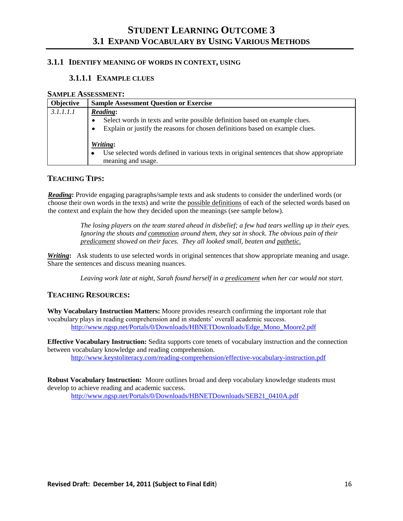# **STUDENT LEARNING OUTCOME 3 3.1 EXPAND VOCABULARY BY USING VARIOUS METHODS**

### **3.1.1 IDENTIFY MEANING OF WORDS IN CONTEXT, USING**

### **3.1.1.1 EXAMPLE CLUES**

#### **SAMPLE ASSESSMENT:**

| <b>Objective</b> | <b>Sample Assessment Question or Exercise</b>                                                                                                                                             |
|------------------|-------------------------------------------------------------------------------------------------------------------------------------------------------------------------------------------|
| 3.1.1.1.1        | <b>Reading:</b><br>Select words in texts and write possible definition based on example clues.<br>٠<br>Explain or justify the reasons for chosen definitions based on example clues.<br>٠ |
|                  | Writing:<br>Use selected words defined in various texts in original sentences that show appropriate<br>٠<br>meaning and usage.                                                            |

# **TEACHING TIPS:**

*Reading***:** Provide engaging paragraphs/sample texts and ask students to consider the underlined words (or choose their own words in the texts) and write the possible definitions of each of the selected words based on the context and explain the how they decided upon the meanings (see sample below).

> *The losing players on the team stared ahead in disbelief; a few had tears welling up in their eyes. Ignoring the shouts and commotion around them, they sat in shock. The obvious pain of their predicament showed on their faces. They all looked small, beaten and pathetic.*

*Writing***:** Ask students to use selected words in original sentences that show appropriate meaning and usage. Share the sentences and discuss meaning nuances.

*Leaving work late at night, Sarah found herself in a predicament when her car would not start.*

#### **TEACHING RESOURCES:**

**Why Vocabulary Instruction Matters:** Moore provides research confirming the important role that vocabulary plays in reading comprehension and in students' overall academic success. [http://www.ngsp.net/Portals/0/Downloads/HBNETDownloads/Edge\\_Mono\\_Moore2.pdf](http://www.ngsp.net/Portals/0/Downloads/HBNETDownloads/Edge_Mono_Moore2.pdf)

**Effective Vocabulary Instruction:** Sedita supports core tenets of vocabulary instruction and the connection between vocabulary knowledge and reading comprehension.

<http://www.keystoliteracy.com/reading-comprehension/effective-vocabulary-instruction.pdf>

**Robust Vocabulary Instruction:** Moore outlines broad and deep vocabulary knowledge students must develop to achieve reading and academic success. [http://www.ngsp.net/Portals/0/Downloads/HBNETDownloads/SEB21\\_0410A.pdf](http://www.ngsp.net/Portals/0/Downloads/HBNETDownloads/SEB21_0410A.pdf)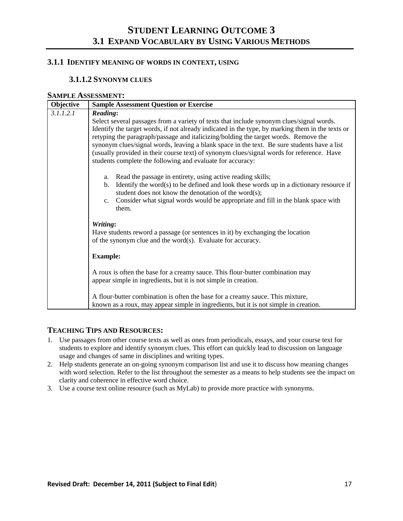# **STUDENT LEARNING OUTCOME 3 3.1 EXPAND VOCABULARY BY USING VARIOUS METHODS**

# **3.1.1 IDENTIFY MEANING OF WORDS IN CONTEXT, USING**

### **3.1.1.2 SYNONYM CLUES**

#### **SAMPLE ASSESSMENT:**

| Objective | <b>Sample Assessment Question or Exercise</b>                                                                                                                                                                                                                                                                                                                                                                                                                                                                                                                    |
|-----------|------------------------------------------------------------------------------------------------------------------------------------------------------------------------------------------------------------------------------------------------------------------------------------------------------------------------------------------------------------------------------------------------------------------------------------------------------------------------------------------------------------------------------------------------------------------|
| 3.1.1.2.1 | <b>Reading:</b><br>Select several passages from a variety of texts that include synonym clues/signal words.<br>Identify the target words, if not already indicated in the type, by marking them in the texts or<br>retyping the paragraph/passage and italicizing/bolding the target words. Remove the<br>synonym clues/signal words, leaving a blank space in the text. Be sure students have a list<br>(usually provided in their course text) of synonym clues/signal words for reference. Have<br>students complete the following and evaluate for accuracy: |
|           | Read the passage in entirety, using active reading skills;<br>a.<br>Identify the word(s) to be defined and look these words up in a dictionary resource if<br>b.<br>student does not know the denotation of the word $(s)$ ;<br>Consider what signal words would be appropriate and fill in the blank space with<br>c.<br>them.                                                                                                                                                                                                                                  |
|           | Writing:<br>Have students reword a passage (or sentences in it) by exchanging the location<br>of the synonym clue and the word(s). Evaluate for accuracy.<br><b>Example:</b>                                                                                                                                                                                                                                                                                                                                                                                     |
|           | A roux is often the base for a creamy sauce. This flour-butter combination may<br>appear simple in ingredients, but it is not simple in creation.<br>A flour-butter combination is often the base for a creamy sauce. This mixture,<br>known as a roux, may appear simple in ingredients, but it is not simple in creation.                                                                                                                                                                                                                                      |

- 1. Use passages from other course texts as well as ones from periodicals, essays, and your course text for students to explore and identify synonym clues. This effort can quickly lead to discussion on language usage and changes of same in disciplines and writing types.
- 2. Help students generate an on‐going synonym comparison list and use it to discuss how meaning changes with word selection. Refer to the list throughout the semester as a means to help students see the impact on clarity and coherence in effective word choice.
- 3. Use a course text online resource (such as MyLab) to provide more practice with synonyms.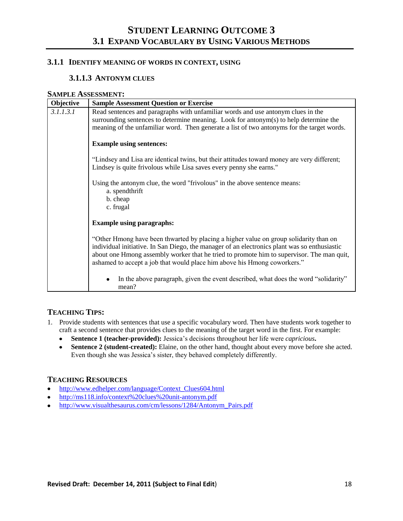### **3.1.1 IDENTIFY MEANING OF WORDS IN CONTEXT, USING**

### **3.1.1.3 ANTONYM CLUES**

#### **SAMPLE ASSESSMENT:**

| Objective | <b>Sample Assessment Question or Exercise</b>                                                                                                                                                                                                                                                                                                                  |
|-----------|----------------------------------------------------------------------------------------------------------------------------------------------------------------------------------------------------------------------------------------------------------------------------------------------------------------------------------------------------------------|
| 3.1.1.3.1 | Read sentences and paragraphs with unfamiliar words and use antonym clues in the<br>surrounding sentences to determine meaning. Look for antonym(s) to help determine the<br>meaning of the unfamiliar word. Then generate a list of two antonyms for the target words.                                                                                        |
|           | <b>Example using sentences:</b>                                                                                                                                                                                                                                                                                                                                |
|           | "Lindsey and Lisa are identical twins, but their attitudes toward money are very different;<br>Lindsey is quite frivolous while Lisa saves every penny she earns."                                                                                                                                                                                             |
|           | Using the antonym clue, the word "frivolous" in the above sentence means:<br>a. spendthrift<br>b. cheap<br>c. frugal                                                                                                                                                                                                                                           |
|           | <b>Example using paragraphs:</b>                                                                                                                                                                                                                                                                                                                               |
|           | "Other Hmong have been thwarted by placing a higher value on group solidarity than on<br>individual initiative. In San Diego, the manager of an electronics plant was so enthusiastic<br>about one Hmong assembly worker that he tried to promote him to supervisor. The man quit,<br>ashamed to accept a job that would place him above his Hmong coworkers." |
|           | In the above paragraph, given the event described, what does the word "solidarity"<br>mean?                                                                                                                                                                                                                                                                    |

# **TEACHING TIPS:**

- 1. Provide students with sentences that use a specific vocabulary word. Then have students work together to craft a second sentence that provides clues to the meaning of the target word in the first. For example:
	- **Sentence 1 (teacher-provided):** Jessica's decisions throughout her life were *capricious***.**
	- **Sentence 2 (student-created):** Elaine, on the other hand, thought about every move before she acted.  $\bullet$ Even though she was Jessica's sister, they behaved completely differently.

- [http://www.edhelper.com/language/Context\\_Clues604.html](http://www.edhelper.com/language/Context_Clues604.html)
- <http://ms118.info/context%20clues%20unit-antonym.pdf>
- [http://www.visualthesaurus.com/cm/lessons/1284/Antonym\\_Pairs.pdf](http://www.visualthesaurus.com/cm/lessons/1284/Antonym_Pairs.pdf)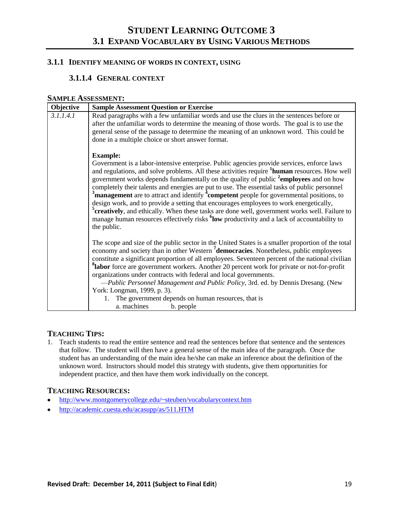# **3.1.1 IDENTIFY MEANING OF WORDS IN CONTEXT, USING**

# **3.1.1.4 GENERAL CONTEXT**

### **SAMPLE ASSESSMENT:**

| Objective | <b>Sample Assessment Question or Exercise</b>                                                                                                                                                                                                                                                                                                                                                                                                                                                                                                                                                                                                                                                                                                                                                                                                                     |
|-----------|-------------------------------------------------------------------------------------------------------------------------------------------------------------------------------------------------------------------------------------------------------------------------------------------------------------------------------------------------------------------------------------------------------------------------------------------------------------------------------------------------------------------------------------------------------------------------------------------------------------------------------------------------------------------------------------------------------------------------------------------------------------------------------------------------------------------------------------------------------------------|
| 3.1.1.4.1 | Read paragraphs with a few unfamiliar words and use the clues in the sentences before or<br>after the unfamiliar words to determine the meaning of those words. The goal is to use the<br>general sense of the passage to determine the meaning of an unknown word. This could be<br>done in a multiple choice or short answer format.                                                                                                                                                                                                                                                                                                                                                                                                                                                                                                                            |
|           | <b>Example:</b><br>Government is a labor-intensive enterprise. Public agencies provide services, enforce laws<br>and regulations, and solve problems. All these activities require <sup>1</sup> human resources. How well<br>government works depends fundamentally on the quality of public <sup>2</sup> employees and on how<br>completely their talents and energies are put to use. The essential tasks of public personnel<br>$3$ management are to attract and identify $4$ competent people for governmental positions, to<br>design work, and to provide a setting that encourages employees to work energetically,<br><sup>5</sup> creatively, and ethically. When these tasks are done well, government works well. Failure to<br>manage human resources effectively risks <sup>6</sup> low productivity and a lack of accountability to<br>the public. |
|           | The scope and size of the public sector in the United States is a smaller proportion of the total<br>economy and society than in other Western <sup>7</sup> democracies. Nonetheless, public employees<br>constitute a significant proportion of all employees. Seventeen percent of the national civilian<br><sup>8</sup> labor force are government workers. Another 20 percent work for private or not-for-profit<br>organizations under contracts with federal and local governments.<br>-Public Personnel Management and Public Policy, 3rd. ed. by Dennis Dresang. (New<br>York: Longman, 1999, p. 3).<br>1. The government depends on human resources, that is<br>a. machines<br>b. people                                                                                                                                                                 |

# **TEACHING TIPS:**

1. Teach students to read the entire sentence and read the sentences before that sentence and the sentences that follow. The student will then have a general sense of the main idea of the paragraph. Once the student has an understanding of the main idea he/she can make an inference about the definition of the unknown word. Instructors should model this strategy with students, give them opportunities for independent practice, and then have them work individually on the concept.

- <http://www.montgomerycollege.edu/~steuben/vocabularycontext.htm>
- <http://academic.cuesta.edu/acasupp/as/511.HTM>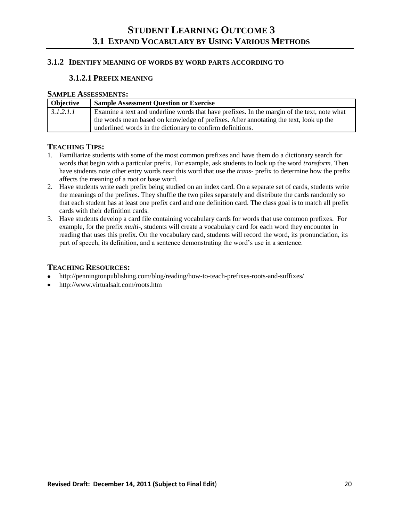#### **3.1.2 IDENTIFY MEANING OF WORDS BY WORD PARTS ACCORDING TO**

### **3.1.2.1 PREFIX MEANING**

#### **SAMPLE ASSESSMENTS:**

| <b>Objective</b> | <b>Sample Assessment Question or Exercise</b>                                               |
|------------------|---------------------------------------------------------------------------------------------|
| 3.1.2.1.1        | Examine a text and underline words that have prefixes. In the margin of the text, note what |
|                  | the words mean based on knowledge of prefixes. After annotating the text, look up the       |
|                  | underlined words in the dictionary to confirm definitions.                                  |

### **TEACHING TIPS:**

- 1. Familiarize students with some of the most common prefixes and have them do a dictionary search for words that begin with a particular prefix. For example, ask students to look up the word *transform*. Then have students note other entry words near this word that use the *trans-* prefix to determine how the prefix affects the meaning of a root or base word.
- 2. Have students write each prefix being studied on an index card. On a separate set of cards, students write the meanings of the prefixes. They shuffle the two piles separately and distribute the cards randomly so that each student has at least one prefix card and one definition card. The class goal is to match all prefix cards with their definition cards.
- 3. Have students develop a card file containing vocabulary cards for words that use common prefixes. For example, for the prefix *multi*-, students will create a vocabulary card for each word they encounter in reading that uses this prefix. On the vocabulary card, students will record the word, its pronunciation, its part of speech, its definition, and a sentence demonstrating the word's use in a sentence.

- <http://penningtonpublishing.com/blog/reading/how-to-teach-prefixes-roots-and-suffixes/>
- http://www.virtualsalt.com/roots.htm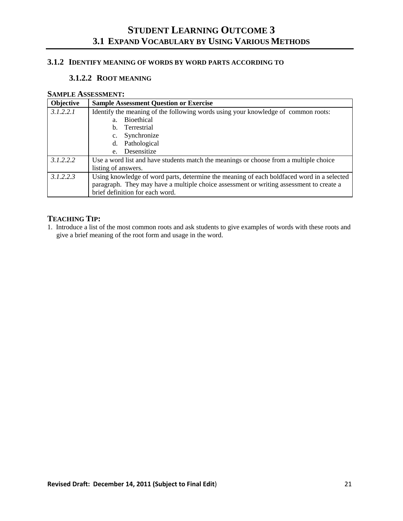# **STUDENT LEARNING OUTCOME 3 3.1 EXPAND VOCABULARY BY USING VARIOUS METHODS**

# **3.1.2 IDENTIFY MEANING OF WORDS BY WORD PARTS ACCORDING TO**

### **3.1.2.2 ROOT MEANING**

#### **SAMPLE ASSESSMENT:**

| Objective | <b>Sample Assessment Question or Exercise</b>                                             |
|-----------|-------------------------------------------------------------------------------------------|
| 3.1.2.2.1 | Identify the meaning of the following words using your knowledge of common roots:         |
|           | <b>Bioethical</b><br>a <sub>1</sub>                                                       |
|           | Terrestrial<br>$h_{-}$                                                                    |
|           | Synchronize<br>c.                                                                         |
|           | d. Pathological                                                                           |
|           | Desensitize<br>$e_{\cdot}$                                                                |
| 3.1.2.2.2 | Use a word list and have students match the meanings or choose from a multiple choice     |
|           | listing of answers.                                                                       |
| 3.1.2.2.3 | Using knowledge of word parts, determine the meaning of each boldfaced word in a selected |
|           | paragraph. They may have a multiple choice assessment or writing assessment to create a   |
|           | brief definition for each word.                                                           |

# **TEACHING TIP:**

1. Introduce a list of the most common roots and ask students to give examples of words with these roots and give a brief meaning of the root form and usage in the word.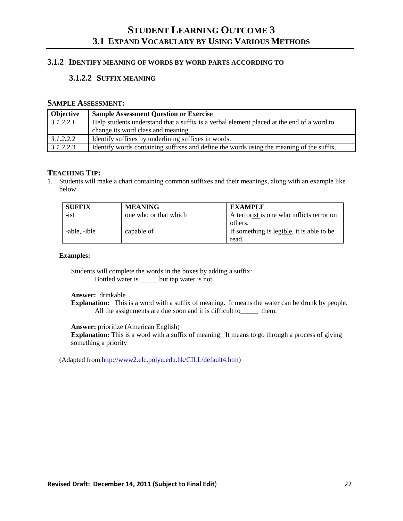# **STUDENT LEARNING OUTCOME 3 3.1 EXPAND VOCABULARY BY USING VARIOUS METHODS**

# **3.1.2 IDENTIFY MEANING OF WORDS BY WORD PARTS ACCORDING TO**

#### **3.1.2.2 SUFFIX MEANING**

#### **SAMPLE ASSESSMENT:**

| <b>Objective</b> | <b>Sample Assessment Question or Exercise</b>                                             |
|------------------|-------------------------------------------------------------------------------------------|
| 3.1.2.2.1        | Help students understand that a suffix is a verbal element placed at the end of a word to |
|                  | change its word class and meaning.                                                        |
| 3.1.2.2.2        | Identify suffixes by underlining suffixes in words.                                       |
| 3.1.2.2.3        | Identify words containing suffixes and define the words using the meaning of the suffix.  |

#### **TEACHING TIP:**

1. Students will make a chart containing common suffixes and their meanings, along with an example like below.

| <b>SUFFIX</b> | <b>MEANING</b>        | <b>EXAMPLE</b>                            |
|---------------|-----------------------|-------------------------------------------|
| $-ist$        | one who or that which | A terrorist is one who inflicts terror on |
|               |                       | others.                                   |
| -able, -ible  | capable of            | If something is legible, it is able to be |
|               |                       | read.                                     |

#### **Examples:**

Students will complete the words in the boxes by adding a suffix: Bottled water is \_\_\_\_\_ but tap water is not.

**Answer:** drinkable

**Explanation:** This is a word with a suffix of meaning. It means the water can be drunk by people. All the assignments are due soon and it is difficult to\_\_\_\_\_\_ them.

**Answer:** prioritize (American English)

**Explanation:** This is a word with a suffix of meaning. It means to go through a process of giving something a priority

(Adapted fro[m http://www2.elc.polyu.edu.hk/CILL/default4.htm\)](http://www2.elc.polyu.edu.hk/CILL/default4.htm)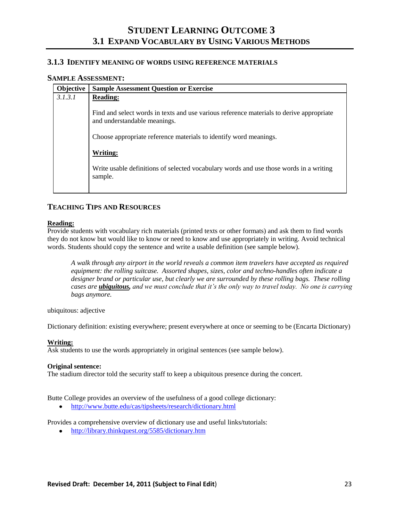#### **3.1.3 IDENTIFY MEANING OF WORDS USING REFERENCE MATERIALS**

#### **SAMPLE ASSESSMENT:**

| Objective | <b>Sample Assessment Question or Exercise</b>                                                                            |
|-----------|--------------------------------------------------------------------------------------------------------------------------|
| 3.1.3.1   | <b>Reading:</b>                                                                                                          |
|           | Find and select words in texts and use various reference materials to derive appropriate<br>and understandable meanings. |
|           | Choose appropriate reference materials to identify word meanings.                                                        |
|           | <b>Writing:</b>                                                                                                          |
|           | Write usable definitions of selected vocabulary words and use those words in a writing<br>sample.                        |
|           |                                                                                                                          |

### **TEACHING TIPS AND RESOURCES**

#### **Reading:**

Provide students with vocabulary rich materials (printed texts or other formats) and ask them to find words they do not know but would like to know or need to know and use appropriately in writing. Avoid technical words. Students should copy the sentence and write a usable definition (see sample below).

*A walk through any airport in the world reveals a common item travelers have accepted as required equipment: the rolling suitcase. Assorted shapes, sizes, color and techno-handles often indicate a designer brand or particular use, but clearly we are surrounded by these rolling bags. These rolling cases are ubiquitous, and we must conclude that it's the only way to travel today. No one is carrying bags anymore.*

ubiquitous: adjective

Dictionary definition: existing everywhere; present everywhere at once or seeming to be (Encarta Dictionary)

#### **Writing:**

Ask students to use the words appropriately in original sentences (see sample below).

#### **Original sentence:**

The stadium director told the security staff to keep a ubiquitous presence during the concert.

Butte College provides an overview of the usefulness of a good college dictionary:

<http://www.butte.edu/cas/tipsheets/research/dictionary.html>  $\bullet$ 

Provides a comprehensive overview of dictionary use and useful links/tutorials:

<http://library.thinkquest.org/5585/dictionary.htm>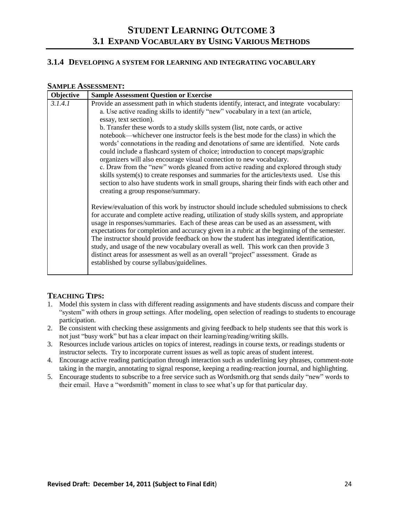# **STUDENT LEARNING OUTCOME 3 3.1 EXPAND VOCABULARY BY USING VARIOUS METHODS**

#### **3.1.4 DEVELOPING A SYSTEM FOR LEARNING AND INTEGRATING VOCABULARY**

#### **SAMPLE ASSESSMENT:**

| Objective | <b>Sample Assessment Question or Exercise</b>                                                                                                                                                                                                                                                                                                                                                                                                                                                                                                                                                                                                                                                                                                                                                                                                                                                                                                                                                                                                                                                                                                                                                                                                                                                                                                                                                                                                                                                                                                                                                                                                                               |
|-----------|-----------------------------------------------------------------------------------------------------------------------------------------------------------------------------------------------------------------------------------------------------------------------------------------------------------------------------------------------------------------------------------------------------------------------------------------------------------------------------------------------------------------------------------------------------------------------------------------------------------------------------------------------------------------------------------------------------------------------------------------------------------------------------------------------------------------------------------------------------------------------------------------------------------------------------------------------------------------------------------------------------------------------------------------------------------------------------------------------------------------------------------------------------------------------------------------------------------------------------------------------------------------------------------------------------------------------------------------------------------------------------------------------------------------------------------------------------------------------------------------------------------------------------------------------------------------------------------------------------------------------------------------------------------------------------|
| 3.1.4.1   | Provide an assessment path in which students identify, interact, and integrate vocabulary:<br>a. Use active reading skills to identify "new" vocabulary in a text (an article,<br>essay, text section).<br>b. Transfer these words to a study skills system (list, note cards, or active<br>notebook—whichever one instructor feels is the best mode for the class) in which the<br>words' connotations in the reading and denotations of same are identified. Note cards<br>could include a flashcard system of choice; introduction to concept maps/graphic<br>organizers will also encourage visual connection to new vocabulary.<br>c. Draw from the "new" words gleaned from active reading and explored through study<br>skills system(s) to create responses and summaries for the articles/texts used. Use this<br>section to also have students work in small groups, sharing their finds with each other and<br>creating a group response/summary.<br>Review/evaluation of this work by instructor should include scheduled submissions to check<br>for accurate and complete active reading, utilization of study skills system, and appropriate<br>usage in responses/summaries. Each of these areas can be used as an assessment, with<br>expectations for completion and accuracy given in a rubric at the beginning of the semester.<br>The instructor should provide feedback on how the student has integrated identification,<br>study, and usage of the new vocabulary overall as well. This work can then provide 3<br>distinct areas for assessment as well as an overall "project" assessment. Grade as<br>established by course syllabus/guidelines. |
|           |                                                                                                                                                                                                                                                                                                                                                                                                                                                                                                                                                                                                                                                                                                                                                                                                                                                                                                                                                                                                                                                                                                                                                                                                                                                                                                                                                                                                                                                                                                                                                                                                                                                                             |

- 1. Model this system in class with different reading assignments and have students discuss and compare their "system" with others in group settings. After modeling, open selection of readings to students to encourage participation.
- 2. Be consistent with checking these assignments and giving feedback to help students see that this work is not just "busy work" but has a clear impact on their learning/reading/writing skills.
- 3. Resources include various articles on topics of interest, readings in course texts, or readings students or instructor selects. Try to incorporate current issues as well as topic areas of student interest.
- 4. Encourage active reading participation through interaction such as underlining key phrases, comment-note taking in the margin, annotating to signal response, keeping a reading-reaction journal, and highlighting.
- 5. Encourage students to subscribe to a free service such as Wordsmith.org that sends daily "new" words to their email. Have a "wordsmith" moment in class to see what's up for that particular day.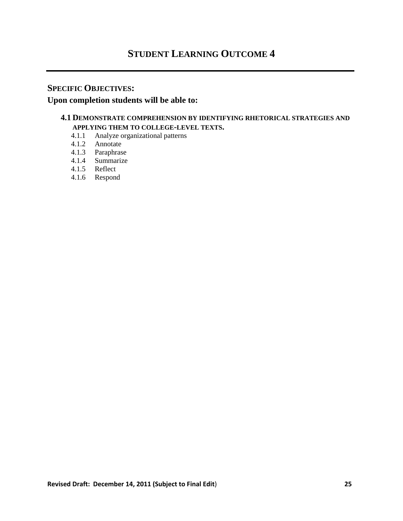# **STUDENT LEARNING OUTCOME 4**

# **SPECIFIC OBJECTIVES:**

# **Upon completion students will be able to:**

# **4.1 DEMONSTRATE COMPREHENSION BY IDENTIFYING RHETORICAL STRATEGIES AND APPLYING THEM TO COLLEGE-LEVEL TEXTS.**

- 4.1.1 Analyze organizational patterns
- 4.1.2 Annotate
- 4.1.3 Paraphrase
- 4.1.4 Summarize
- 4.1.5 Reflect
- 4.1.6 Respond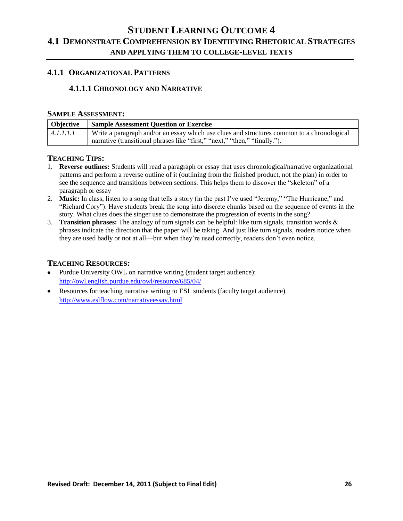# **4.1.1 ORGANIZATIONAL PATTERNS**

### **4.1.1.1 CHRONOLOGY AND NARRATIVE**

### **SAMPLE ASSESSMENT:**

| Objective | <b>Sample Assessment Question or Exercise</b>                                              |
|-----------|--------------------------------------------------------------------------------------------|
| 4.1.1.1.1 | Write a paragraph and/or an essay which use clues and structures common to a chronological |
|           | narrative (transitional phrases like "first," "next," "then," "finally.").                 |

#### **TEACHING TIPS:**

- 1. **Reverse outlines:** Students will read a paragraph or essay that uses chronological/narrative organizational patterns and perform a reverse outline of it (outlining from the finished product, not the plan) in order to see the sequence and transitions between sections. This helps them to discover the "skeleton" of a paragraph or essay
- 2. **Music:** In class, listen to a song that tells a story (in the past I've used "Jeremy," "The Hurricane," and "Richard Cory"). Have students break the song into discrete chunks based on the sequence of events in the story. What clues does the singer use to demonstrate the progression of events in the song?
- 3. **Transition phrases:** The analogy of turn signals can be helpful: like turn signals, transition words & phrases indicate the direction that the paper will be taking. And just like turn signals, readers notice when they are used badly or not at all—but when they're used correctly, readers don't even notice.

- Purdue University OWL on narrative writing (student target audience): <http://owl.english.purdue.edu/owl/resource/685/04/>
- Resources for teaching narrative writing to ESL students (faculty target audience) <http://www.eslflow.com/narrativeessay.html>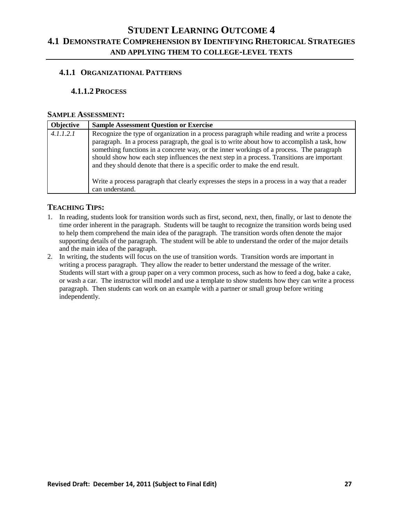# **4.1.1 ORGANIZATIONAL PATTERNS**

### **4.1.1.2 PROCESS**

#### **SAMPLE ASSESSMENT:**

| Objective | <b>Sample Assessment Question or Exercise</b>                                                                                                                                                                                                                                                                                                                                                                                                                                                                                                                                              |
|-----------|--------------------------------------------------------------------------------------------------------------------------------------------------------------------------------------------------------------------------------------------------------------------------------------------------------------------------------------------------------------------------------------------------------------------------------------------------------------------------------------------------------------------------------------------------------------------------------------------|
| 4.1.1.2.1 | Recognize the type of organization in a process paragraph while reading and write a process<br>paragraph. In a process paragraph, the goal is to write about how to accomplish a task, how<br>something functions in a concrete way, or the inner workings of a process. The paragraph<br>should show how each step influences the next step in a process. Transitions are important<br>and they should denote that there is a specific order to make the end result.<br>Write a process paragraph that clearly expresses the steps in a process in a way that a reader<br>can understand. |

- 1. In reading, students look for transition words such as first, second, next, then, finally, or last to denote the time order inherent in the paragraph. Students will be taught to recognize the transition words being used to help them comprehend the main idea of the paragraph. The transition words often denote the major supporting details of the paragraph. The student will be able to understand the order of the major details and the main idea of the paragraph.
- 2. In writing, the students will focus on the use of transition words. Transition words are important in writing a process paragraph. They allow the reader to better understand the message of the writer. Students will start with a group paper on a very common process, such as how to feed a dog, bake a cake, or wash a car. The instructor will model and use a template to show students how they can write a process paragraph. Then students can work on an example with a partner or small group before writing independently.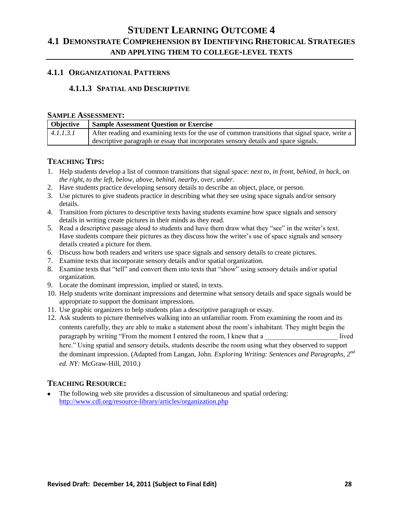### **4.1.1 ORGANIZATIONAL PATTERNS**

# **4.1.1.3 SPATIAL AND DESCRIPTIVE**

#### **SAMPLE ASSESSMENT:**

| <b>Objective</b> | <b>Sample Assessment Question or Exercise</b>                                                  |
|------------------|------------------------------------------------------------------------------------------------|
| 4.1.1.3.1        | After reading and examining texts for the use of common transitions that signal space, write a |
|                  | descriptive paragraph or essay that incorporates sensory details and space signals.            |

#### **TEACHING TIPS:**

- 1. Help students develop a list of common transitions that signal space: *next to, in front, behind, in back, on the right, to the left, below, above, behind, nearby, over, under.*
- 2. Have students practice developing sensory details to describe an object, place, or person.
- 3. Use pictures to give students practice in describing what they see using space signals and/or sensory details.
- 4. Transition from pictures to descriptive texts having students examine how space signals and sensory details in writing create pictures in their minds as they read.
- 5. Read a descriptive passage aloud to students and have them draw what they "see" in the writer's text. Have students compare their pictures as they discuss how the writer's use of space signals and sensory details created a picture for them.
- 6. Discuss how both readers and writers use space signals and sensory details to create pictures.
- 7. Examine texts that incorporate sensory details and/or spatial organization.
- 8. Examine texts that "tell" and convert them into texts that "show" using sensory details and/or spatial organization.
- 9. Locate the dominant impression, implied or stated, in texts.
- 10. Help students write dominant impressions and determine what sensory details and space signals would be appropriate to support the dominant impressions.
- 11. Use graphic organizers to help students plan a descriptive paragraph or essay.
- 12. Ask students to picture themselves walking into an unfamiliar room. From examining the room and its contents carefully, they are able to make a statement about the room's inhabitant. They might begin the paragraph by writing "From the moment I entered the room, I knew that a lived here." Using spatial and sensory details, students describe the room using what they observed to support the dominant impression. (Adapted from Langan, John. *E*x*ploring Writing: Sentences and Paragraphs, 2nd ed. NY:* McGraw-Hill, 2010.)

# **TEACHING RESOURCE:**

The following web site provides a discussion of simultaneous and spatial ordering: <http://www.cdl.org/resource-library/articles/organization.php>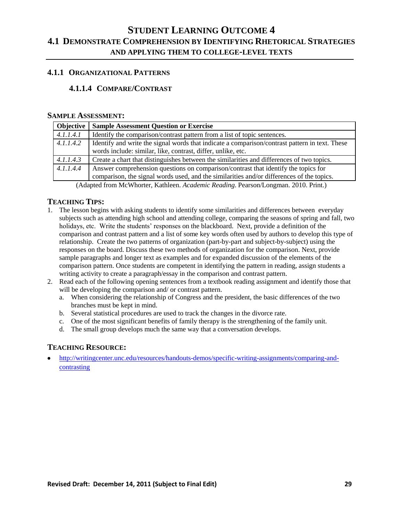## **4.1.1 ORGANIZATIONAL PATTERNS**

# **4.1.1.4 COMPARE/CONTRAST**

#### **SAMPLE ASSESSMENT:**

| <b>Objective</b> | <b>Sample Assessment Question or Exercise</b>                                                                                                                                   |
|------------------|---------------------------------------------------------------------------------------------------------------------------------------------------------------------------------|
| 4.1.1.4.1        | Identify the comparison/contrast pattern from a list of topic sentences.                                                                                                        |
| 4.1.1.4.2        | Identify and write the signal words that indicate a comparison/contrast pattern in text. These<br>words include: similar, like, contrast, differ, unlike, etc.                  |
| 4.1.1.4.3        | Create a chart that distinguishes between the similarities and differences of two topics.                                                                                       |
| 4.1.1.4.4        | Answer comprehension questions on comparison/contrast that identify the topics for<br>comparison, the signal words used, and the similarities and/or differences of the topics. |

(Adapted from McWhorter, Kathleen. *Academic Reading*. Pearson/Longman. 2010. Print.)

### **TEACHING TIPS:**

- 1. The lesson begins with asking students to identify some similarities and differences between everyday subjects such as attending high school and attending college, comparing the seasons of spring and fall, two holidays, etc. Write the students' responses on the blackboard. Next, provide a definition of the comparison and contrast pattern and a list of some key words often used by authors to develop this type of relationship. Create the two patterns of organization (part-by-part and subject-by-subject) using the responses on the board. Discuss these two methods of organization for the comparison. Next, provide sample paragraphs and longer text as examples and for expanded discussion of the elements of the comparison pattern. Once students are competent in identifying the pattern in reading, assign students a writing activity to create a paragraph/essay in the comparison and contrast pattern.
- 2. Read each of the following opening sentences from a textbook reading assignment and identify those that will be developing the comparison and/ or contrast pattern.
	- a. When considering the relationship of Congress and the president, the basic differences of the two branches must be kept in mind.
	- b. Several statistical procedures are used to track the changes in the divorce rate.
	- c. One of the most significant benefits of family therapy is the strengthening of the family unit.
	- d. The small group develops much the same way that a conversation develops.

# **TEACHING RESOURCE:**

[http://writingcenter.unc.edu/resources/handouts-demos/specific-writing-assignments/comparing-and](http://writingcenter.unc.edu/resources/handouts-demos/specific-writing-assignments/comparing-and-contrasting)[contrasting](http://writingcenter.unc.edu/resources/handouts-demos/specific-writing-assignments/comparing-and-contrasting)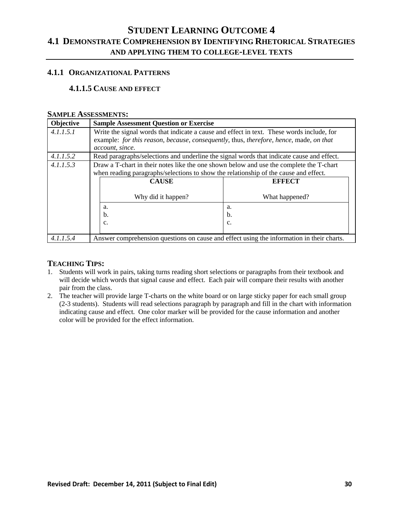### **4.1.1 ORGANIZATIONAL PATTERNS**

# **4.1.1.5 CAUSE AND EFFECT**

#### **SAMPLE ASSESSMENTS:**

| Objective | <b>Sample Assessment Question or Exercise</b>                                                                                                                                   |                |
|-----------|---------------------------------------------------------------------------------------------------------------------------------------------------------------------------------|----------------|
| 4.1.1.5.1 | Write the signal words that indicate a cause and effect in text. These words include, for                                                                                       |                |
|           | example: for this reason, because, consequently, thus, therefore, hence, made, on that<br>account, since.                                                                       |                |
| 4.1.1.5.2 | Read paragraphs/selections and underline the signal words that indicate cause and effect.                                                                                       |                |
| 4.1.1.5.3 | Draw a T-chart in their notes like the one shown below and use the complete the T-chart<br>when reading paragraphs/selections to show the relationship of the cause and effect. |                |
|           | <b>CAUSE</b>                                                                                                                                                                    | <b>EFFECT</b>  |
|           | Why did it happen?                                                                                                                                                              | What happened? |
|           | a.                                                                                                                                                                              | a.             |
|           | b.                                                                                                                                                                              | b.             |
|           | $\mathbf{c}$ .                                                                                                                                                                  | c.             |
| 4.1.1.5.4 | Answer comprehension questions on cause and effect using the information in their charts.                                                                                       |                |

- 1. Students will work in pairs, taking turns reading short selections or paragraphs from their textbook and will decide which words that signal cause and effect. Each pair will compare their results with another pair from the class.
- 2. The teacher will provide large T-charts on the white board or on large sticky paper for each small group (2-3 students). Students will read selections paragraph by paragraph and fill in the chart with information indicating cause and effect. One color marker will be provided for the cause information and another color will be provided for the effect information.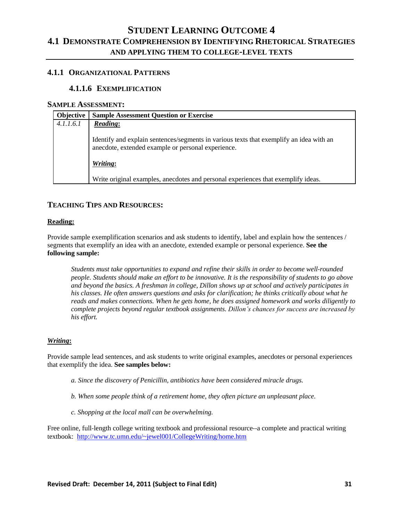# **4.1.1 ORGANIZATIONAL PATTERNS**

# **4.1.1.6 EXEMPLIFICATION**

#### **SAMPLE ASSESSMENT:**

| <b>Objective</b> | <b>Sample Assessment Question or Exercise</b>                                                                                                 |
|------------------|-----------------------------------------------------------------------------------------------------------------------------------------------|
| 4.1.1.6.1        | <b>Reading:</b>                                                                                                                               |
|                  | Identify and explain sentences/segments in various texts that exemplify an idea with an<br>anecdote, extended example or personal experience. |
|                  | Writing:                                                                                                                                      |
|                  | Write original examples, anecdotes and personal experiences that exemplify ideas.                                                             |

## **TEACHING TIPS AND RESOURCES:**

#### **Reading:**

Provide sample exemplification scenarios and ask students to identify, label and explain how the sentences / segments that exemplify an idea with an anecdote, extended example or personal experience. **See the following sample:**

*Students must take opportunities to expand and refine their skills in order to become well‐rounded people. Students should make an effort to be innovative. It is the responsibility of students to go above and beyond the basics. A freshman in college, Dillon shows up at school and actively participates in his classes. He often answers questions and asks for clarification; he thinks critically about what he reads and makes connections. When he gets home, he does assigned homework and works diligently to complete projects beyond regular textbook assignments. Dillon's chances for success are increased by his effort.*

#### *Writing***:**

Provide sample lead sentences, and ask students to write original examples, anecdotes or personal experiences that exemplify the idea. **See samples below:**

- *a. Since the discovery of Penicillin, antibiotics have been considered miracle drugs.*
- *b. When some people think of a retirement home, they often picture an unpleasant place.*
- *c. Shopping at the local mall can be overwhelming.*

Free online, full-length college writing textbook and professional resource--a complete and practical writing textbook: <http://www.tc.umn.edu/~jewel001/CollegeWriting/home.htm>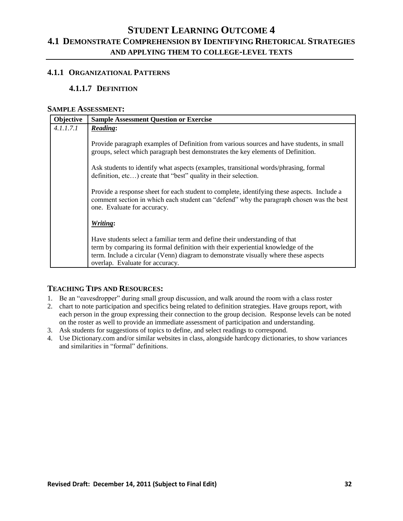### **4.1.1 ORGANIZATIONAL PATTERNS**

# **4.1.1.7 DEFINITION**

### **SAMPLE ASSESSMENT:**

| Objective | <b>Sample Assessment Question or Exercise</b>                                                                                                                                                                                                                                             |
|-----------|-------------------------------------------------------------------------------------------------------------------------------------------------------------------------------------------------------------------------------------------------------------------------------------------|
| 4.1.1.7.1 | <b>Reading:</b>                                                                                                                                                                                                                                                                           |
|           | Provide paragraph examples of Definition from various sources and have students, in small<br>groups, select which paragraph best demonstrates the key elements of Definition.                                                                                                             |
|           | Ask students to identify what aspects (examples, transitional words/phrasing, formal<br>definition, etc) create that "best" quality in their selection.                                                                                                                                   |
|           | Provide a response sheet for each student to complete, identifying these aspects. Include a<br>comment section in which each student can "defend" why the paragraph chosen was the best<br>one. Evaluate for accuracy.                                                                    |
|           | Writing:                                                                                                                                                                                                                                                                                  |
|           | Have students select a familiar term and define their understanding of that<br>term by comparing its formal definition with their experiential knowledge of the<br>term. Include a circular (Venn) diagram to demonstrate visually where these aspects<br>overlap. Evaluate for accuracy. |

- 1. Be an "eavesdropper" during small group discussion, and walk around the room with a class roster
- 2. chart to note participation and specifics being related to definition strategies. Have groups report, with each person in the group expressing their connection to the group decision. Response levels can be noted on the roster as well to provide an immediate assessment of participation and understanding.
- 3. Ask students for suggestions of topics to define, and select readings to correspond.
- 4. Use Dictionary.com and/or similar websites in class, alongside hardcopy dictionaries, to show variances and similarities in "formal" definitions.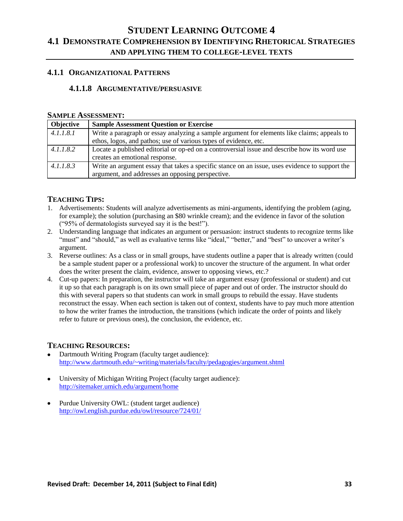# **4.1.1 ORGANIZATIONAL PATTERNS**

# **4.1.1.8 ARGUMENTATIVE/PERSUASIVE**

#### **SAMPLE ASSESSMENT:**

| Objective | <b>Sample Assessment Question or Exercise</b>                                                  |
|-----------|------------------------------------------------------------------------------------------------|
| 4.1.1.8.1 | Write a paragraph or essay analyzing a sample argument for elements like claims; appeals to    |
|           | ethos, logos, and pathos; use of various types of evidence, etc.                               |
| 4.1.1.8.2 | Locate a published editorial or op-ed on a controversial issue and describe how its word use   |
|           | creates an emotional response.                                                                 |
| 4.1.1.8.3 | Write an argument essay that takes a specific stance on an issue, uses evidence to support the |
|           | argument, and addresses an opposing perspective.                                               |

### **TEACHING TIPS:**

- 1. Advertisements: Students will analyze advertisements as mini-arguments, identifying the problem (aging, for example); the solution (purchasing an \$80 wrinkle cream); and the evidence in favor of the solution (―95% of dermatologists surveyed say it is the best!‖).
- 2. Understanding language that indicates an argument or persuasion: instruct students to recognize terms like "must" and "should," as well as evaluative terms like "ideal," "better," and "best" to uncover a writer's argument.
- 3. Reverse outlines: As a class or in small groups, have students outline a paper that is already written (could be a sample student paper or a professional work) to uncover the structure of the argument. In what order does the writer present the claim, evidence, answer to opposing views, etc.?
- 4. Cut-up papers: In preparation, the instructor will take an argument essay (professional or student) and cut it up so that each paragraph is on its own small piece of paper and out of order. The instructor should do this with several papers so that students can work in small groups to rebuild the essay. Have students reconstruct the essay. When each section is taken out of context, students have to pay much more attention to how the writer frames the introduction, the transitions (which indicate the order of points and likely refer to future or previous ones), the conclusion, the evidence, etc.

- Dartmouth Writing Program (faculty target audience): <http://www.dartmouth.edu/~writing/materials/faculty/pedagogies/argument.shtml>
- University of Michigan Writing Project (faculty target audience): <http://sitemaker.umich.edu/argument/home>
- Purdue University OWL: (student target audience) <http://owl.english.purdue.edu/owl/resource/724/01/>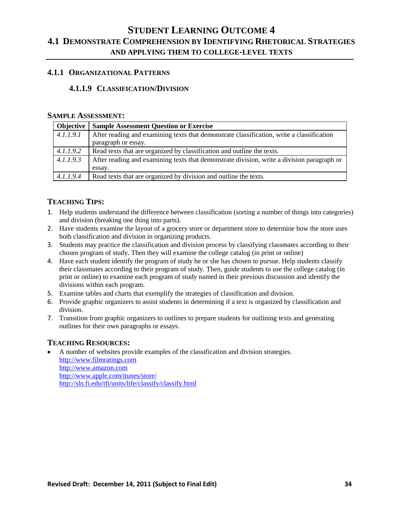### **4.1.1 ORGANIZATIONAL PATTERNS**

# **4.1.1.9 CLASSIFICATION/DIVISION**

#### **SAMPLE ASSESSMENT:**

| Objective | <b>Sample Assessment Question or Exercise</b>                                              |
|-----------|--------------------------------------------------------------------------------------------|
| 4.1.1.9.1 | After reading and examining texts that demonstrate classification, write a classification  |
|           | paragraph or essay.                                                                        |
| 4.1.1.9.2 | Read texts that are organized by classification and outline the texts.                     |
| 4.1.1.9.3 | After reading and examining texts that demonstrate division, write a division paragraph or |
|           | essay.                                                                                     |
| 4.1.1.9.4 | Read texts that are organized by division and outline the texts.                           |

# **TEACHING TIPS:**

- 1. Help students understand the difference between classification (sorting a number of things into categories) and division (breaking one thing into parts).
- 2. Have students examine the layout of a grocery store or department store to determine how the store uses both classification and division in organizing products.
- 3. Students may practice the classification and division process by classifying classmates according to their chosen program of study. Then they will examine the college catalog (in print or online)
- 4. Have each student identify the program of study he or she has chosen to pursue. Help students classify their classmates according to their program of study. Then, guide students to use the college catalog (in print or online) to examine each program of study named in their previous discussion and identify the divisions within each program.
- 5. Examine tables and charts that exemplify the strategies of classification and division.
- 6. Provide graphic organizers to assist students in determining if a text is organized by classification and division.
- 7. Transition from graphic organizers to outlines to prepare students for outlining texts and generating outlines for their own paragraphs or essays.

# **TEACHING RESOURCES:**

A number of websites provide examples of the classification and division strategies. [http://www.filmratings.com](http://www.filmratings.com/) [http://www.amazon.com](http://www.amazon.com/) <http://www.apple.com/itunes/store/> <http://sln.fi.edu/tfi/units/life/classify/classify.html>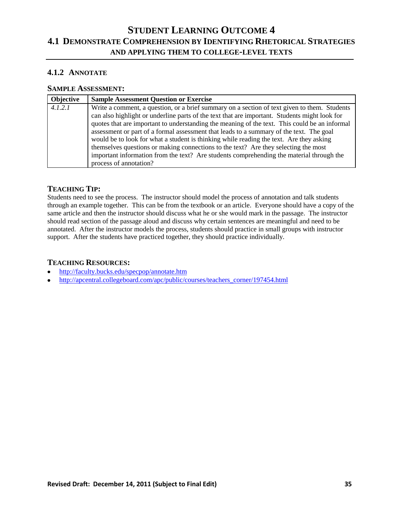# **4.1.2 ANNOTATE**

# **SAMPLE ASSESSMENT:**

| Objective | <b>Sample Assessment Question or Exercise</b>                                                                                                                                                                                                                                                                                                                                                                                                                                                                                                                                                                                                                                                     |
|-----------|---------------------------------------------------------------------------------------------------------------------------------------------------------------------------------------------------------------------------------------------------------------------------------------------------------------------------------------------------------------------------------------------------------------------------------------------------------------------------------------------------------------------------------------------------------------------------------------------------------------------------------------------------------------------------------------------------|
| 4.1.2.1   | Write a comment, a question, or a brief summary on a section of text given to them. Students<br>can also highlight or underline parts of the text that are important. Students might look for<br>quotes that are important to understanding the meaning of the text. This could be an informal<br>assessment or part of a formal assessment that leads to a summary of the text. The goal<br>would be to look for what a student is thinking while reading the text. Are they asking<br>themselves questions or making connections to the text? Are they selecting the most<br>important information from the text? Are students comprehending the material through the<br>process of annotation? |

# **TEACHING TIP:**

Students need to see the process. The instructor should model the process of annotation and talk students through an example together. This can be from the textbook or an article. Everyone should have a copy of the same article and then the instructor should discuss what he or she would mark in the passage. The instructor should read section of the passage aloud and discuss why certain sentences are meaningful and need to be annotated. After the instructor models the process, students should practice in small groups with instructor support. After the students have practiced together, they should practice individually.

- [http://faculty.bucks.edu/specpop/annotate.htm](https://owa.lfcc.edu/owa/redir.aspx?C=38093363197b47ebb30a3c64b4191658&URL=http%3a%2f%2ffaculty.bucks.edu%2fspecpop%2fannotate.htm)  $\bullet$
- [http://apcentral.collegeboard.com/apc/public/courses/teachers\\_corner/197454.html](https://owa.lfcc.edu/owa/redir.aspx?C=38093363197b47ebb30a3c64b4191658&URL=http%3a%2f%2fapcentral.collegeboard.com%2fapc%2fpublic%2fcourses%2fteachers_corner%2f197454.html) $\bullet$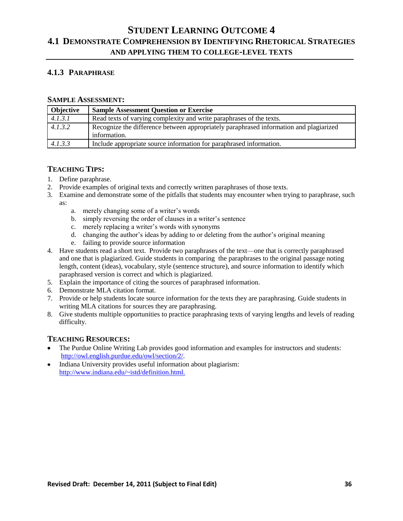# **4.1.3 PARAPHRASE**

#### **SAMPLE ASSESSMENT:**

| Objective | <b>Sample Assessment Question or Exercise</b>                                                          |  |
|-----------|--------------------------------------------------------------------------------------------------------|--|
| 4.1.3.1   | Read texts of varying complexity and write paraphrases of the texts.                                   |  |
| 4.1.3.2   | Recognize the difference between appropriately paraphrased information and plagiarized<br>information. |  |
| 4.1.3.3   | Include appropriate source information for paraphrased information.                                    |  |

### **TEACHING TIPS:**

- 1. Define paraphrase.
- 2. Provide examples of original texts and correctly written paraphrases of those texts.
- 3. Examine and demonstrate some of the pitfalls that students may encounter when trying to paraphrase, such as:
	- a. merely changing some of a writer's words
	- b. simply reversing the order of clauses in a writer's sentence
	- c. merely replacing a writer's words with synonyms
	- d. changing the author's ideas by adding to or deleting from the author's original meaning
	- e. failing to provide source information
- 4. Have students read a short text. Provide two paraphrases of the text—one that is correctly paraphrased and one that is plagiarized. Guide students in comparing the paraphrases to the original passage noting length, content (ideas), vocabulary, style (sentence structure), and source information to identify which paraphrased version is correct and which is plagiarized.
- 5. Explain the importance of citing the sources of paraphrased information.
- 6. Demonstrate MLA citation format.
- 7. Provide or help students locate source information for the texts they are paraphrasing. Guide students in writing MLA citations for sources they are paraphrasing.
- 8. Give students multiple opportunities to practice paraphrasing texts of varying lengths and levels of reading difficulty.

- The Purdue Online Writing Lab provides good information and examples for instructors and students: [http://owl.english.purdue.edu/owl/section/2/.](http://owl.english.purdue.edu/owl/section/2/)
- Indiana University provides useful information about plagiarism: <http://www.indiana.edu/~istd/definition.html.>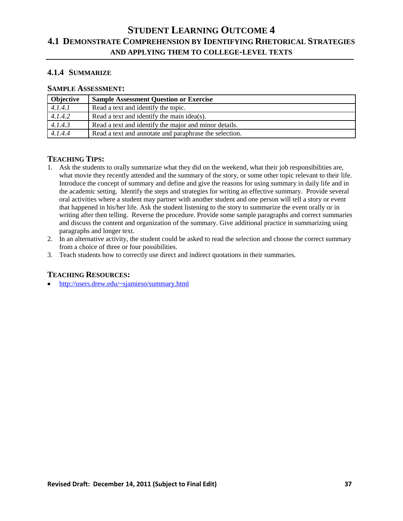# **4.1.4 SUMMARIZE**

# **SAMPLE ASSESSMENT:**

| <b>Objective</b> | <b>Sample Assessment Question or Exercise</b>          |
|------------------|--------------------------------------------------------|
| 4.1.4.1          | Read a text and identify the topic.                    |
| 4.1.4.2          | Read a text and identify the main idea(s).             |
| 4.1.4.3          | Read a text and identify the major and minor details.  |
| 4.1.4.4          | Read a text and annotate and paraphrase the selection. |

# **TEACHING TIPS:**

- 1. Ask the students to orally summarize what they did on the weekend, what their job responsibilities are, what movie they recently attended and the summary of the story, or some other topic relevant to their life. Introduce the concept of summary and define and give the reasons for using summary in daily life and in the academic setting. Identify the steps and strategies for writing an effective summary. Provide several oral activities where a student may partner with another student and one person will tell a story or event that happened in his/her life. Ask the student listening to the story to summarize the event orally or in writing after then telling. Reverse the procedure. Provide some sample paragraphs and correct summaries and discuss the content and organization of the summary. Give additional practice in summarizing using paragraphs and longer text.
- 2. In an alternative activity, the student could be asked to read the selection and choose the correct summary from a choice of three or four possibilities.
- 3. Teach students how to correctly use direct and indirect quotations in their summaries.

#### **TEACHING RESOURCES:**

<http://users.drew.edu/~sjamieso/summary.html>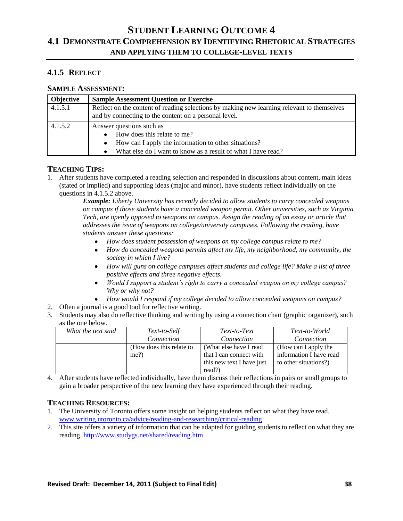# **4.1.5 REFLECT**

# **SAMPLE ASSESSMENT:**

| Objective | <b>Sample Assessment Question or Exercise</b>                                                                                                       |
|-----------|-----------------------------------------------------------------------------------------------------------------------------------------------------|
| 4.1.5.1   | Reflect on the content of reading selections by making new learning relevant to themselves<br>and by connecting to the content on a personal level. |
| 4.1.5.2   | Answer questions such as                                                                                                                            |
|           | How does this relate to me?                                                                                                                         |
|           | How can I apply the information to other situations?<br>٠                                                                                           |
|           | What else do I want to know as a result of what I have read?<br>٠                                                                                   |

# **TEACHING TIPS:**

1. After students have completed a reading selection and responded in discussions about content, main ideas (stated or implied) and supporting ideas (major and minor), have students reflect individually on the questions in 4.1.5.2 above.

> *Example: Liberty University has recently decided to allow students to carry concealed weapons on campus if those students have a concealed weapon permit. Other universities, such as Virginia Tech, are openly opposed to weapons on campus. Assign the reading of an essay or article that addresses the issue of weapons on college/university campuses. Following the reading, have students answer these questions:*

- *How does student possession of weapons on my college campus relate to me?*
- *How do concealed weapons permits affect my life, my neighborhood, my community, the society in which I live?*
- *How will guns on college campuses affect students and college life? Make a list of three positive effects and three negative effects.*
- *Would I support a student's right to carry a concealed weapon on my college campus? Why or why not?*
- *How would I respond if my college decided to allow concealed weapons on campus?*
- 2. Often a journal is a good tool for reflective writing.
- 3. Students may also do reflective thinking and writing by using a connection chart (graphic organizer), such as the one below.

| What the text said | Text-to-Self             | Text-to-Text              | Text-to-World           |
|--------------------|--------------------------|---------------------------|-------------------------|
|                    | Connection               | Connection                | Connection              |
|                    | (How does this relate to | (What else have I read)   | (How can I apply the    |
|                    | $me$ ?                   | that I can connect with   | information I have read |
|                    |                          | this new text I have just | to other situations?)   |
|                    |                          | read?)                    |                         |

4. After students have reflected individually, have them discuss their reflections in pairs or small groups to gain a broader perspective of the new learning they have experienced through their reading.

- 1. The University of Toronto offers some insight on helping students reflect on what they have read. [www.writing.utoronto.ca/advice/reading-and-researching/critical-reading](http://www.writing.utoronto.ca/advice/reading-and-researching/critical-reading)
- 2. This site offers a variety of information that can be adapted for guiding students to reflect on what they are reading[. http://www.studygs.net/shared/reading.htm](http://www.studygs.net/shared/reading.htm)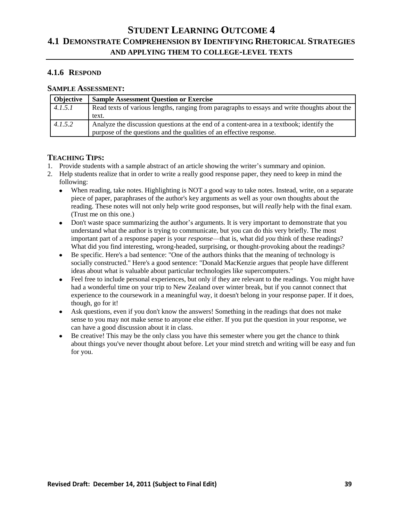# **4.1.6 RESPOND**

# **SAMPLE ASSESSMENT:**

| Objective | <b>Sample Assessment Question or Exercise</b>                                                                                                                     |  |
|-----------|-------------------------------------------------------------------------------------------------------------------------------------------------------------------|--|
| 4.1.5.1   | Read texts of various lengths, ranging from paragraphs to essays and write thoughts about the                                                                     |  |
|           | text.                                                                                                                                                             |  |
| 4.1.5.2   | Analyze the discussion questions at the end of a content-area in a textbook; identify the<br>purpose of the questions and the qualities of an effective response. |  |

- 1. Provide students with a sample abstract of an article showing the writer's summary and opinion.
- 2. Help students realize that in order to write a really good response paper, they need to keep in mind the following:
	- $\bullet$ When reading, take notes. Highlighting is NOT a good way to take notes. Instead, write, on a separate piece of paper, paraphrases of the author's key arguments as well as your own thoughts about the reading. These notes will not only help write good responses, but will *really* help with the final exam. (Trust me on this one.)
	- Don't waste space summarizing the author's arguments. It is very important to demonstrate that you  $\bullet$ understand what the author is trying to communicate, but you can do this very briefly. The most important part of a response paper is your *response*—that is, what did *you* think of these readings? What did you find interesting, wrong-headed, surprising, or thought-provoking about the readings?
	- Be specific. Here's a bad sentence: "One of the authors thinks that the meaning of technology is socially constructed." Here's a good sentence: "Donald MacKenzie argues that people have different ideas about what is valuable about particular technologies like supercomputers."
	- Feel free to include personal experiences, but only if they are relevant to the readings. You might have had a wonderful time on your trip to New Zealand over winter break, but if you cannot connect that experience to the coursework in a meaningful way, it doesn't belong in your response paper. If it does, though, go for it!
	- Ask questions, even if you don't know the answers! Something in the readings that does not make sense to you may not make sense to anyone else either. If you put the question in your response, we can have a good discussion about it in class.
	- Be creative! This may be the only class you have this semester where you get the chance to think about things you've never thought about before. Let your mind stretch and writing will be easy and fun for you.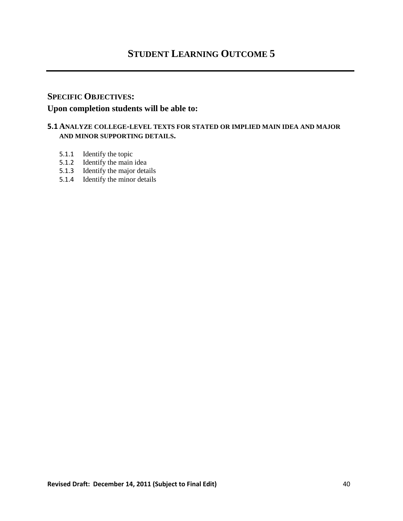# **SPECIFIC OBJECTIVES: Upon completion students will be able to:**

# **5.1 ANALYZE COLLEGE-LEVEL TEXTS FOR STATED OR IMPLIED MAIN IDEA AND MAJOR AND MINOR SUPPORTING DETAILS.**

- 5.1.1 Identify the topic
- 5.1.2 Identify the main idea
- 5.1.3 Identify the major details
- 5.1.4 Identify the minor details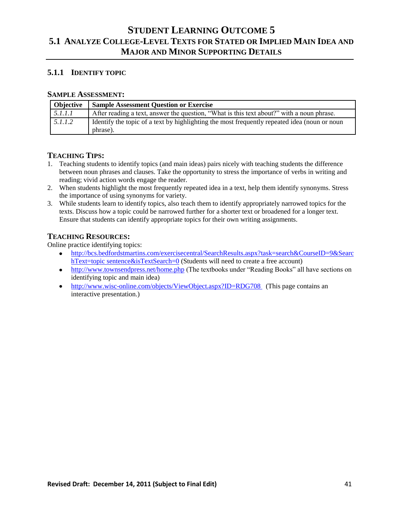# **5.1.1 IDENTIFY TOPIC**

#### **SAMPLE ASSESSMENT:**

| <b>Objective</b> | <b>Sample Assessment Question or Exercise</b>                                                             |  |
|------------------|-----------------------------------------------------------------------------------------------------------|--|
| 5.1.1.1          | After reading a text, answer the question, "What is this text about?" with a noun phrase.                 |  |
| 5.1.1.2          | I dentify the topic of a text by highlighting the most frequently repeated idea (noun or noun<br>phrase). |  |

# **TEACHING TIPS:**

- 1. Teaching students to identify topics (and main ideas) pairs nicely with teaching students the difference between noun phrases and clauses. Take the opportunity to stress the importance of verbs in writing and reading; vivid action words engage the reader.
- 2. When students highlight the most frequently repeated idea in a text, help them identify synonyms. Stress the importance of using synonyms for variety.
- 3. While students learn to identify topics, also teach them to identify appropriately narrowed topics for the texts. Discuss how a topic could be narrowed further for a shorter text or broadened for a longer text. Ensure that students can identify appropriate topics for their own writing assignments.

# **TEACHING RESOURCES:**

Online practice identifying topics:

- [http://bcs.bedfordstmartins.com/exercisecentral/SearchResults.aspx?task=search&CourseID=9&Searc](http://bcs.bedfordstmartins.com/exercisecentral/SearchResults.aspx?task=search&CourseID=9&SearchText=topic%20sentence&isTextSearch=0) [hText=topic sentence&isTextSearch=0](http://bcs.bedfordstmartins.com/exercisecentral/SearchResults.aspx?task=search&CourseID=9&SearchText=topic%20sentence&isTextSearch=0) (Students will need to create a free account)
- <http://www.townsendpress.net/home.php> (The textbooks under "Reading Books" all have sections on identifying topic and main idea)
- <http://www.wisc-online.com/objects/ViewObject.aspx?ID=RDG708> (This page contains an interactive presentation.)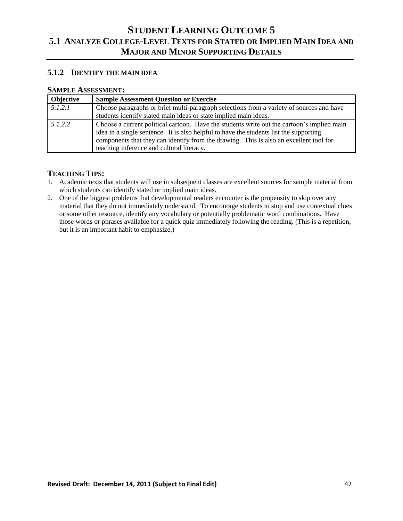# **5.1.2 IDENTIFY THE MAIN IDEA**

#### **SAMPLE ASSESSMENT:**

| Objective | <b>Sample Assessment Question or Exercise</b>                                                                                                                                                                                                                                                                               |
|-----------|-----------------------------------------------------------------------------------------------------------------------------------------------------------------------------------------------------------------------------------------------------------------------------------------------------------------------------|
| 5.1.2.1   | Choose paragraphs or brief multi-paragraph selections from a variety of sources and have<br>students identify stated main ideas or state implied main ideas.                                                                                                                                                                |
| 5.1.2.2   | Choose a current political cartoon. Have the students write out the cartoon's implied main<br>idea in a single sentence. It is also helpful to have the students list the supporting<br>components that they can identify from the drawing. This is also an excellent tool for<br>teaching inference and cultural literacy. |

- 1. Academic texts that students will use in subsequent classes are excellent sources for sample material from which students can identify stated or implied main ideas.
- 2. One of the biggest problems that developmental readers encounter is the propensity to skip over any material that they do not immediately understand. To encourage students to stop and use contextual clues or some other resource, identify any vocabulary or potentially problematic word combinations. Have those words or phrases available for a quick quiz immediately following the reading. (This is a repetition, but it is an important habit to emphasize.)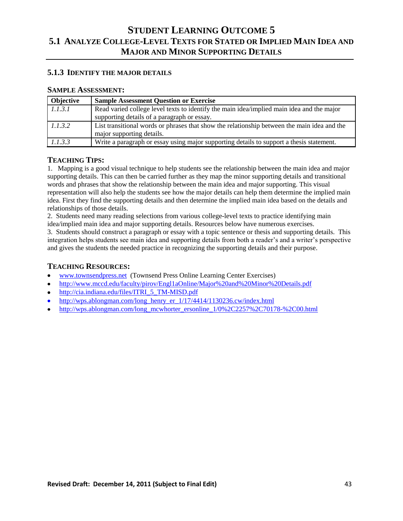# **5.1.3 IDENTIFY THE MAJOR DETAILS**

#### **SAMPLE ASSESSMENT:**

| <b>Objective</b> | <b>Sample Assessment Question or Exercise</b>                                                                                            |
|------------------|------------------------------------------------------------------------------------------------------------------------------------------|
| 1.1.3.1          | Read varied college level texts to identify the main idea/implied main idea and the major<br>supporting details of a paragraph or essay. |
| 1.1.3.2          | List transitional words or phrases that show the relationship between the main idea and the<br>major supporting details.                 |
| 1.1.3.3          | Write a paragraph or essay using major supporting details to support a thesis statement.                                                 |

# **TEACHING TIPS:**

1. Mapping is a good visual technique to help students see the relationship between the main idea and major supporting details. This can then be carried further as they map the minor supporting details and transitional words and phrases that show the relationship between the main idea and major supporting. This visual representation will also help the students see how the major details can help them determine the implied main idea. First they find the supporting details and then determine the implied main idea based on the details and relationships of those details.

2. Students need many reading selections from various college-level texts to practice identifying main idea/implied main idea and major supporting details. Resources below have numerous exercises.

3. Students should construct a paragraph or essay with a topic sentence or thesis and supporting details. This integration helps students see main idea and supporting details from both a reader's and a writer's perspective and gives the students the needed practice in recognizing the supporting details and their purpose.

- [www.townsendpress.net](http://www.townsendpress.net/) (Townsend Press Online Learning Center Exercises)  $\bullet$
- <http://www.mccd.edu/faculty/pirov/Engl1aOnline/Major%20and%20Minor%20Details.pdf>  $\bullet$
- [http://cia.indiana.edu/files/ITRI\\_5\\_TM-MISD.pdf](http://cia.indiana.edu/files/ITRI_5_TM-MISD.pdf)  $\bullet$
- [http://wps.ablongman.com/long\\_henry\\_er\\_1/17/4414/1130236.cw/index.html](http://wps.ablongman.com/long_henry_er_1/17/4414/1130236.cw/index.html)
- [http://wps.ablongman.com/long\\_mcwhorter\\_ersonline\\_1/0%2C2257%2C70178-%2C00.html](http://wps.ablongman.com/long_mcwhorter_ersonline_1/0%2C2257%2C70178-%2C00.html)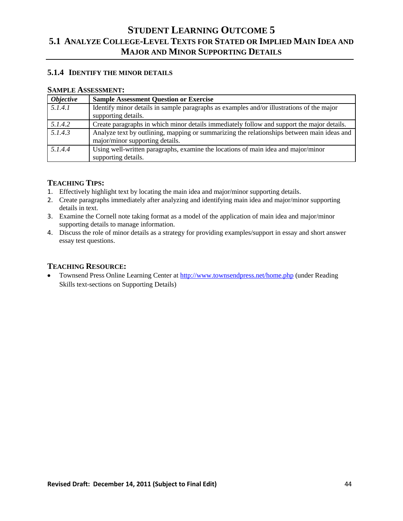# **5.1.4 IDENTIFY THE MINOR DETAILS**

#### **SAMPLE ASSESSMENT:**

| <i><b>Objective</b></i> | <b>Sample Assessment Question or Exercise</b>                                                                                 |
|-------------------------|-------------------------------------------------------------------------------------------------------------------------------|
| 5.1.4.1                 | Identify minor details in sample paragraphs as examples and/or illustrations of the major<br>supporting details.              |
| 5.1.4.2                 | Create paragraphs in which minor details immediately follow and support the major details.                                    |
| 5.1.4.3                 | Analyze text by outlining, mapping or summarizing the relationships between main ideas and<br>major/minor supporting details. |
| 5.1.4.4                 | Using well-written paragraphs, examine the locations of main idea and major/minor<br>supporting details.                      |

# **TEACHING TIPS:**

- 1. Effectively highlight text by locating the main idea and major/minor supporting details.
- 2. Create paragraphs immediately after analyzing and identifying main idea and major/minor supporting details in text.
- 3. Examine the Cornell note taking format as a model of the application of main idea and major/minor supporting details to manage information.
- 4. Discuss the role of minor details as a strategy for providing examples/support in essay and short answer essay test questions.

# **TEACHING RESOURCE:**

Townsend Press Online Learning Center a[t http://www.townsendpress.net/home.php](http://www.townsendpress.net/home.php) (under Reading  $\bullet$ Skills text-sections on Supporting Details)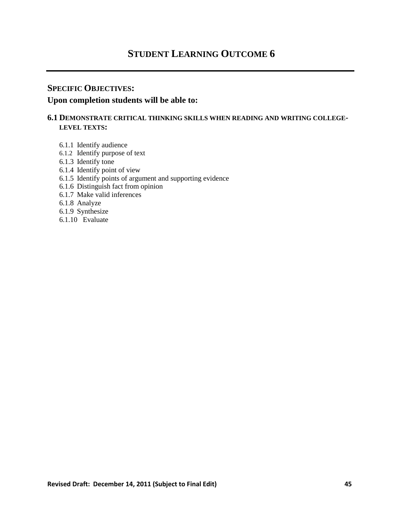# **STUDENT LEARNING OUTCOME 6**

# **SPECIFIC OBJECTIVES:**

# **Upon completion students will be able to:**

# **6.1 DEMONSTRATE CRITICAL THINKING SKILLS WHEN READING AND WRITING COLLEGE-LEVEL TEXTS:**

- 6.1.1 Identify audience
- 6.1.2 Identify purpose of text
- 6.1.3 Identify tone
- 6.1.4 Identify point of view
- 6.1.5 Identify points of argument and supporting evidence
- 6.1.6 Distinguish fact from opinion
- 6.1.7 Make valid inferences
- 6.1.8 Analyze
- 6.1.9 Synthesize
- 6.1.10 Evaluate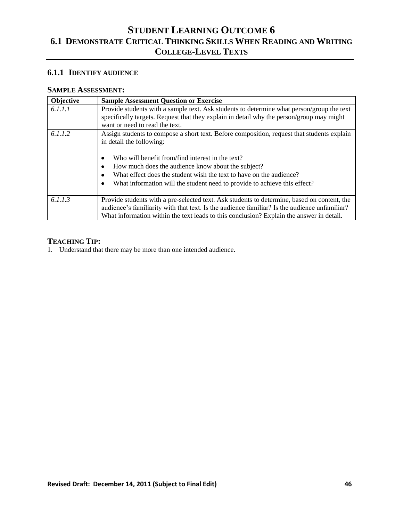# **6.1.1 IDENTIFY AUDIENCE**

### **SAMPLE ASSESSMENT:**

| Objective | <b>Sample Assessment Question or Exercise</b>                                                                                                                                                                                                                                                                                                                                                            |
|-----------|----------------------------------------------------------------------------------------------------------------------------------------------------------------------------------------------------------------------------------------------------------------------------------------------------------------------------------------------------------------------------------------------------------|
| 6.1.1.1   | Provide students with a sample text. Ask students to determine what person/group the text<br>specifically targets. Request that they explain in detail why the person/group may might<br>want or need to read the text.                                                                                                                                                                                  |
| 6.1.1.2   | Assign students to compose a short text. Before composition, request that students explain<br>in detail the following:<br>Who will benefit from/find interest in the text?<br>٠<br>How much does the audience know about the subject?<br>٠<br>What effect does the student wish the text to have on the audience?<br>٠<br>What information will the student need to provide to achieve this effect?<br>٠ |
| 6.1.1.3   | Provide students with a pre-selected text. Ask students to determine, based on content, the<br>audience's familiarity with that text. Is the audience familiar? Is the audience unfamiliar?<br>What information within the text leads to this conclusion? Explain the answer in detail.                                                                                                                  |

# **TEACHING TIP:**

1. Understand that there may be more than one intended audience.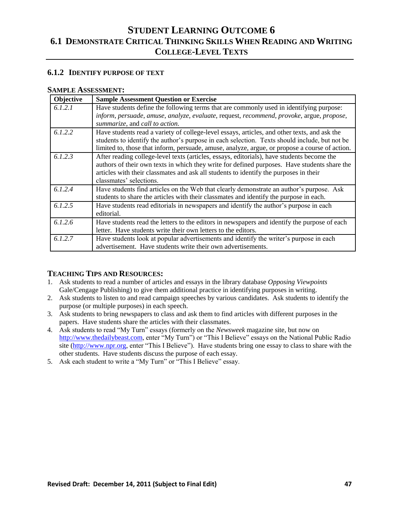# **6.1.2 IDENTIFY PURPOSE OF TEXT**

#### **SAMPLE ASSESSMENT:**

| Objective | <b>Sample Assessment Question or Exercise</b>                                                                                                                                                                                                                                                                  |
|-----------|----------------------------------------------------------------------------------------------------------------------------------------------------------------------------------------------------------------------------------------------------------------------------------------------------------------|
| 6.1.2.1   | Have students define the following terms that are commonly used in identifying purpose:<br>inform, persuade, amuse, analyze, evaluate, request, recommend, provoke, argue, propose,                                                                                                                            |
|           | summarize, and call to action.                                                                                                                                                                                                                                                                                 |
| 6.1.2.2   | Have students read a variety of college-level essays, articles, and other texts, and ask the<br>students to identify the author's purpose in each selection. Texts should include, but not be<br>limited to, those that inform, persuade, amuse, analyze, argue, or propose a course of action.                |
| 6.1.2.3   | After reading college-level texts (articles, essays, editorials), have students become the<br>authors of their own texts in which they write for defined purposes. Have students share the<br>articles with their classmates and ask all students to identify the purposes in their<br>classmates' selections. |
| 6.1.2.4   | Have students find articles on the Web that clearly demonstrate an author's purpose. Ask<br>students to share the articles with their classmates and identify the purpose in each.                                                                                                                             |
| 6.1.2.5   | Have students read editorials in newspapers and identify the author's purpose in each<br>editorial.                                                                                                                                                                                                            |
| 6.1.2.6   | Have students read the letters to the editors in newspapers and identify the purpose of each<br>letter. Have students write their own letters to the editors.                                                                                                                                                  |
| 6.1.2.7   | Have students look at popular advertisements and identify the writer's purpose in each<br>advertisement. Have students write their own advertisements.                                                                                                                                                         |

- 1. Ask students to read a number of articles and essays in the library database *Opposing Viewpoints* Gale/Cengage Publishing) to give them additional practice in identifying purposes in writing.
- 2. Ask students to listen to and read campaign speeches by various candidates. Ask students to identify the purpose (or multiple purposes) in each speech.
- 3. Ask students to bring newspapers to class and ask them to find articles with different purposes in the papers. Have students share the articles with their classmates.
- 4. Ask students to read "My Turn" essays (formerly on the *Newsweek* magazine site, but now on [http://www.thedailybeast.com,](http://www.thedailybeast.com/) enter "My Turn") or "This I Believe" essays on the National Public Radio site [\(http://www.npr.org,](http://www.npr.org/) enter "This I Believe"). Have students bring one essay to class to share with the other students. Have students discuss the purpose of each essay.
- 5. Ask each student to write a "My Turn" or "This I Believe" essay.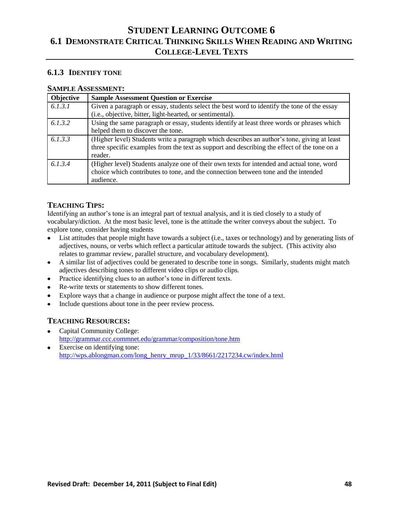# **6.1.3 IDENTIFY TONE**

# **SAMPLE ASSESSMENT:**

| Objective | <b>Sample Assessment Question or Exercise</b>                                                                                                                                                         |
|-----------|-------------------------------------------------------------------------------------------------------------------------------------------------------------------------------------------------------|
| 6.1.3.1   | Given a paragraph or essay, students select the best word to identify the tone of the essay<br>(i.e., objective, bitter, light-hearted, or sentimental).                                              |
| 6.1.3.2   | Using the same paragraph or essay, students identify at least three words or phrases which<br>helped them to discover the tone.                                                                       |
| 6.1.3.3   | (Higher level) Students write a paragraph which describes an author's tone, giving at least<br>three specific examples from the text as support and describing the effect of the tone on a<br>reader. |
| 6.1.3.4   | (Higher level) Students analyze one of their own texts for intended and actual tone, word<br>choice which contributes to tone, and the connection between tone and the intended<br>audience.          |

# **TEACHING TIPS:**

Identifying an author's tone is an integral part of textual analysis, and it is tied closely to a study of vocabulary/diction. At the most basic level, tone is the attitude the writer conveys about the subject. To explore tone, consider having students

- List attitudes that people might have towards a subject (i.e., taxes or technology) and by generating lists of adjectives, nouns, or verbs which reflect a particular attitude towards the subject. (This activity also relates to grammar review, parallel structure, and vocabulary development).
- A similar list of adjectives could be generated to describe tone in songs. Similarly, students might match adjectives describing tones to different video clips or audio clips.
- Practice identifying clues to an author's tone in different texts.  $\bullet$
- Re-write texts or statements to show different tones.  $\bullet$
- Explore ways that a change in audience or purpose might affect the tone of a text.  $\bullet$
- Include questions about tone in the peer review process.

- Capital Community College: <http://grammar.ccc.commnet.edu/grammar/composition/tone.htm>
- Exercise on identifying tone: [http://wps.ablongman.com/long\\_henry\\_mrup\\_1/33/8661/2217234.cw/index.html](http://wps.ablongman.com/long_henry_mrup_1/33/8661/2217234.cw/index.html)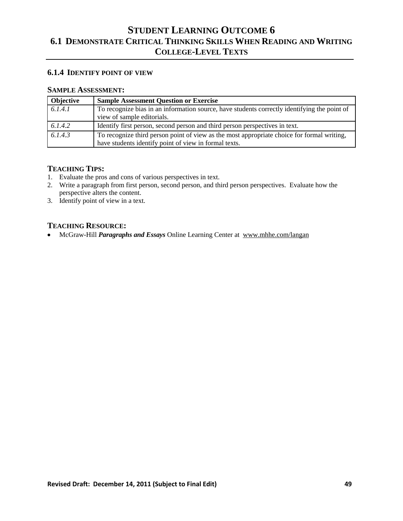# **6.1.4 IDENTIFY POINT OF VIEW**

# **SAMPLE ASSESSMENT:**

| <b>Objective</b> | <b>Sample Assessment Question or Exercise</b>                                                |
|------------------|----------------------------------------------------------------------------------------------|
| 6.1.4.1          | To recognize bias in an information source, have students correctly identifying the point of |
|                  | view of sample editorials.                                                                   |
| 6.1.4.2          | Identify first person, second person and third person perspectives in text.                  |
| 6.1.4.3          | To recognize third person point of view as the most appropriate choice for formal writing,   |
|                  | have students identify point of view in formal texts.                                        |

### **TEACHING TIPS:**

- 1. Evaluate the pros and cons of various perspectives in text.
- 2. Write a paragraph from first person, second person, and third person perspectives. Evaluate how the perspective alters the content.
- 3. Identify point of view in a text.

### **TEACHING RESOURCE:**

McGraw-Hill *Paragraphs and Essays* Online Learning Center at www.mhhe.com/langan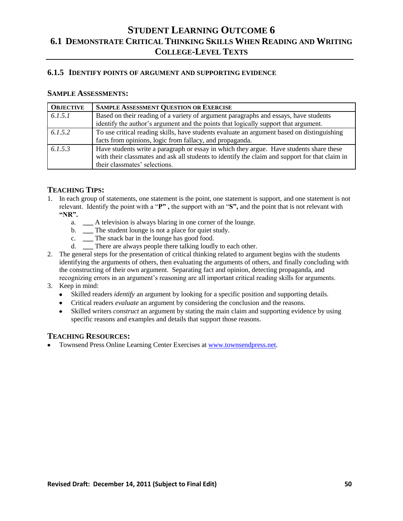# **6.1.5 IDENTIFY POINTS OF ARGUMENT AND SUPPORTING EVIDENCE**

### **SAMPLE ASSESSMENTS:**

| <b>OBJECTIVE</b> | <b>SAMPLE ASSESSMENT QUESTION OR EXERCISE</b>                                                                                                                                                                              |
|------------------|----------------------------------------------------------------------------------------------------------------------------------------------------------------------------------------------------------------------------|
| 6.1.5.1          | Based on their reading of a variety of argument paragraphs and essays, have students                                                                                                                                       |
|                  | identify the author's argument and the points that logically support that argument.                                                                                                                                        |
| 6.1.5.2          | To use critical reading skills, have students evaluate an argument based on distinguishing                                                                                                                                 |
|                  | facts from opinions, logic from fallacy, and propaganda.                                                                                                                                                                   |
| 6.1.5.3          | Have students write a paragraph or essay in which they argue. Have students share these<br>with their classmates and ask all students to identify the claim and support for that claim in<br>their classmates' selections. |

# **TEACHING TIPS:**

- 1. In each group of statements, one statement is the point, one statement is support, and one statement is not relevant. Identify the point with a "P", the support with an "S", and the point that is not relevant with **"NR".**
	- a. **\_\_\_** A television is always blaring in one corner of the lounge.
	- b. \_\_\_ The student lounge is not a place for quiet study.
	- c. **\_\_\_** The snack bar in the lounge has good food.
	- d. **\_\_\_** There are always people there talking loudly to each other.
- 2. The general steps for the presentation of critical thinking related to argument begins with the students identifying the arguments of others, then evaluating the arguments of others, and finally concluding with the constructing of their own argument. Separating fact and opinion, detecting propaganda, and recognizing errors in an argument's reasoning are all important critical reading skills for arguments.
- 3. Keep in mind:
	- Skilled readers *identify* an argument by looking for a specific position and supporting details.
	- Critical readers *evaluate* an argument by considering the conclusion and the reasons.
	- Skilled writers *construct* an argument by stating the main claim and supporting evidence by using specific reasons and examples and details that support those reasons.

# **TEACHING RESOURCES:**

Townsend Press Online Learning Center Exercises a[t www.townsendpress.net.](http://www.townsendpress.net/)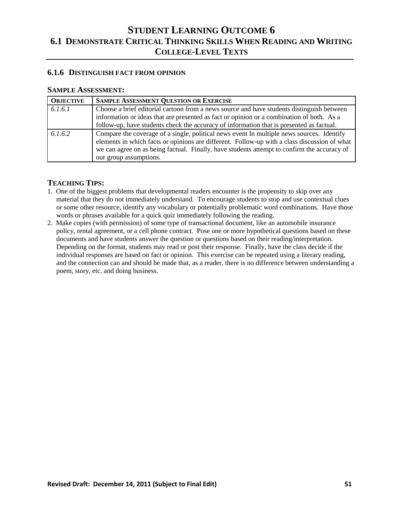# **6.1.6 DISTINGUISH FACT FROM OPINION**

#### **SAMPLE ASSESSMENT:**

| <b>OBJECTIVE</b> | <b>SAMPLE ASSESSMENT QUESTION OR EXERCISE</b>                                                                                                                                                                                                                                                                      |
|------------------|--------------------------------------------------------------------------------------------------------------------------------------------------------------------------------------------------------------------------------------------------------------------------------------------------------------------|
| 6.1.6.1          | Choose a brief editorial cartoon from a news source and have students distinguish between<br>information or ideas that are presented as fact or opinion or a combination of both. As a<br>follow-up, have students check the accuracy of information that is presented as factual.                                 |
| 6.1.6.2          | Compare the coverage of a single, political news event In multiple news sources. Identify<br>elements in which facts or opinions are different. Follow-up with a class discussion of what<br>we can agree on as being factual. Finally, have students attempt to confirm the accuracy of<br>our group assumptions. |

- 1. One of the biggest problems that developmental readers encounter is the propensity to skip over any material that they do not immediately understand. To encourage students to stop and use contextual clues or some other resource, identify any vocabulary or potentially problematic word combinations. Have those words or phrases available for a quick quiz immediately following the reading.
- 2. Make copies (with permission) of some type of transactional document, like an automobile insurance policy, rental agreement, or a cell phone contract. Pose one or more hypothetical questions based on these documents and have students answer the question or questions based on their reading/interpretation. Depending on the format, students may read or post their response. Finally, have the class decide if the individual responses are based on fact or opinion. This exercise can be repeated using a literary reading, and the connection can and should be made that, as a reader, there is no difference between understanding a poem, story, etc. and doing business.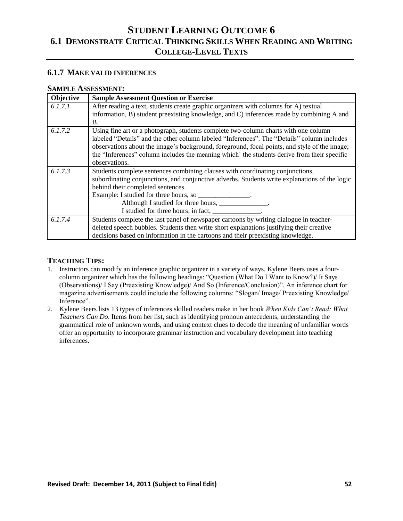# **6.1.7 MAKE VALID INFERENCES**

#### **SAMPLE ASSESSMENT:**

| Objective | <b>Sample Assessment Question or Exercise</b>                                                 |
|-----------|-----------------------------------------------------------------------------------------------|
| 6.1.7.1   | After reading a text, students create graphic organizers with columns for A) textual          |
|           | information, B) student preexisting knowledge, and C) inferences made by combining A and      |
|           | Β.                                                                                            |
| 6.1.7.2   | Using fine art or a photograph, students complete two-column charts with one column           |
|           | labeled "Details" and the other column labeled "Inferences". The "Details" column includes    |
|           | observations about the image's background, foreground, focal points, and style of the image;  |
|           | the "Inferences" column includes the meaning which' the students derive from their specific   |
|           | observations.                                                                                 |
| 6.1.7.3   | Students complete sentences combining clauses with coordinating conjunctions,                 |
|           | subordinating conjunctions, and conjunctive adverbs. Students write explanations of the logic |
|           | behind their completed sentences.                                                             |
|           | Example: I studied for three hours, so _______________.                                       |
|           | Although I studied for three hours, ______________.                                           |
|           | I studied for three hours; in fact, _______________.                                          |
| 6.1.7.4   | Students complete the last panel of newspaper cartoons by writing dialogue in teacher-        |
|           | deleted speech bubbles. Students then write short explanations justifying their creative      |
|           | decisions based on information in the cartoons and their preexisting knowledge.               |

- 1. Instructors can modify an inference graphic organizer in a variety of ways. Kylene Beers uses a fourcolumn organizer which has the following headings: "Question (What Do I Want to Know?)/ It Says (Observations)/ I Say (Preexisting Knowledge)/ And So (Inference/Conclusion)". An inference chart for magazine advertisements could include the following columns: "Slogan/ Image/ Preexisting Knowledge/ Inference".
- 2. Kylene Beers lists 13 types of inferences skilled readers make in her book *When Kids Can't Read: What Teachers Can Do*. Items from her list, such as identifying pronoun antecedents, understanding the grammatical role of unknown words, and using context clues to decode the meaning of unfamiliar words offer an opportunity to incorporate grammar instruction and vocabulary development into teaching inferences.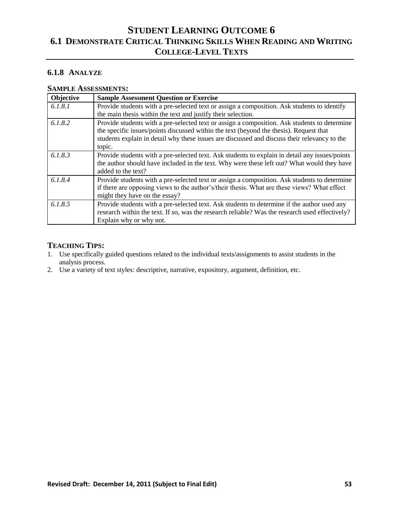# **6.1.8 ANALYZE**

# **SAMPLE ASSESSMENTS:**

| Objective | <b>Sample Assessment Question or Exercise</b>                                                                                                                                                                                                                                          |
|-----------|----------------------------------------------------------------------------------------------------------------------------------------------------------------------------------------------------------------------------------------------------------------------------------------|
| 6.1.8.1   | Provide students with a pre-selected text or assign a composition. Ask students to identify                                                                                                                                                                                            |
|           | the main thesis within the text and justify their selection.                                                                                                                                                                                                                           |
| 6.1.8.2   | Provide students with a pre-selected text or assign a composition. Ask students to determine<br>the specific issues/points discussed within the text (beyond the thesis). Request that<br>students explain in detail why these issues are discussed and discuss their relevancy to the |
|           | topic.                                                                                                                                                                                                                                                                                 |
| 6.1.8.3   | Provide students with a pre-selected text. Ask students to explain in detail any issues/points<br>the author should have included in the text. Why were these left out? What would they have<br>added to the text?                                                                     |
| 6.1.8.4   | Provide students with a pre-selected text or assign a composition. Ask students to determine<br>if there are opposing views to the author's/their thesis. What are these views? What effect<br>might they have on the essay?                                                           |
| 6.1.8.5   | Provide students with a pre-selected text. Ask students to determine if the author used any<br>research within the text. If so, was the research reliable? Was the research used effectively?<br>Explain why or why not.                                                               |

- 1. Use specifically guided questions related to the individual texts/assignments to assist students in the analysis process.
- 2. Use a variety of text styles: descriptive, narrative, expository, argument, definition, etc.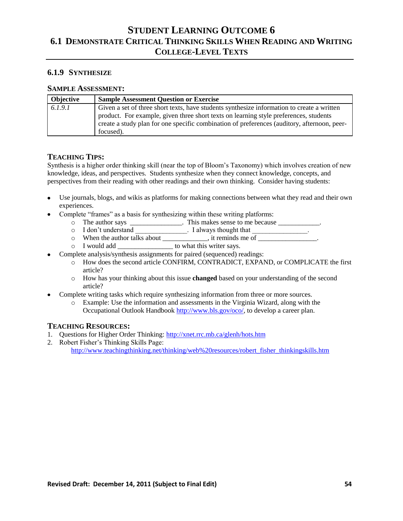# **6.1.9 SYNTHESIZE**

### **SAMPLE ASSESSMENT:**

| Objective | <b>Sample Assessment Question or Exercise</b>                                               |
|-----------|---------------------------------------------------------------------------------------------|
| 6.1.9.1   | Given a set of three short texts, have students synthesize information to create a written  |
|           | product. For example, given three short texts on learning style preferences, students       |
|           | create a study plan for one specific combination of preferences (auditory, afternoon, peer- |
|           | focused).                                                                                   |

### **TEACHING TIPS:**

Synthesis is a higher order thinking skill (near the top of Bloom's Taxonomy) which involves creation of new knowledge, ideas, and perspectives. Students synthesize when they connect knowledge, concepts, and perspectives from their reading with other readings and their own thinking. Consider having students:

- Use journals, blogs, and wikis as platforms for making connections between what they read and their own experiences.
- Complete "frames" as a basis for synthesizing within these writing platforms:
	- o The author says \_\_\_\_\_\_\_\_\_\_\_\_\_\_. This makes sense to me because \_\_\_\_\_\_\_\_\_\_.
	- o I don't understand I always thought that  $\Box$
	- o When the author talks about \_\_\_\_\_\_\_\_\_\_, it reminds me of \_\_\_\_\_\_\_\_\_\_\_\_\_.
		- o I would add \_\_\_\_\_\_\_\_\_\_\_\_\_\_\_\_ to what this writer says.
- Complete analysis/synthesis assignments for paired (sequenced) readings:
	- o How does the second article CONFIRM, CONTRADICT, EXPAND, or COMPLICATE the first article?
	- o How has your thinking about this issue **changed** based on your understanding of the second article?
- Complete writing tasks which require synthesizing information from three or more sources.
	- o Example: Use the information and assessments in the Virginia Wizard, along with the Occupational Outlook Handbook [http://www.bls.gov/oco/,](http://www.bls.gov/oco/) to develop a career plan.

- 1. Questions for Higher Order Thinking[: http://xnet.rrc.mb.ca/glenh/hots.htm](http://xnet.rrc.mb.ca/glenh/hots.htm)
- 2. Robert Fisher's Thinking Skills Page: [http://www.teachingthinking.net/thinking/web%20resources/robert\\_fisher\\_thinkingskills.htm](http://www.teachingthinking.net/thinking/web%20resources/robert_fisher_thinkingskills.htm)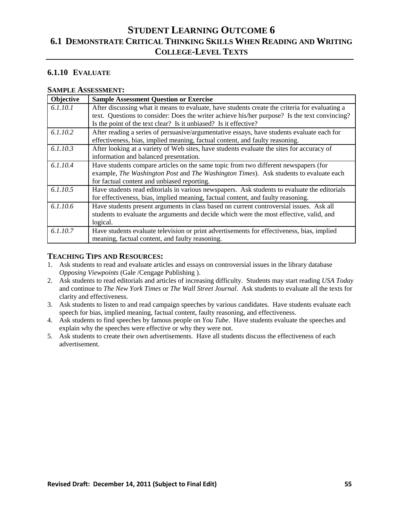# **6.1.10 EVALUATE**

#### **SAMPLE ASSESSMENT:**

| Objective | <b>Sample Assessment Question or Exercise</b>                                                                                                                                                                                                                       |
|-----------|---------------------------------------------------------------------------------------------------------------------------------------------------------------------------------------------------------------------------------------------------------------------|
| 6.1.10.1  | After discussing what it means to evaluate, have students create the criteria for evaluating a<br>text. Questions to consider: Does the writer achieve his/her purpose? Is the text convincing?<br>Is the point of the text clear? Is it unbiased? Is it effective? |
| 6.1.10.2  | After reading a series of persuasive/argumentative essays, have students evaluate each for<br>effectiveness, bias, implied meaning, factual content, and faulty reasoning.                                                                                          |
| 6.1.10.3  | After looking at a variety of Web sites, have students evaluate the sites for accuracy of<br>information and balanced presentation.                                                                                                                                 |
| 6.1.10.4  | Have students compare articles on the same topic from two different newspapers (for<br>example, The Washington Post and The Washington Times). Ask students to evaluate each<br>for factual content and unbiased reporting.                                         |
| 6.1.10.5  | Have students read editorials in various newspapers. Ask students to evaluate the editorials<br>for effectiveness, bias, implied meaning, factual content, and faulty reasoning.                                                                                    |
| 6.1.10.6  | Have students present arguments in class based on current controversial issues. Ask all<br>students to evaluate the arguments and decide which were the most effective, valid, and<br>logical.                                                                      |
| 6.1.10.7  | Have students evaluate television or print advertisements for effectiveness, bias, implied<br>meaning, factual content, and faulty reasoning.                                                                                                                       |

- 1. Ask students to read and evaluate articles and essays on controversial issues in the library database *Opposing Viewpoints* (Gale /Cengage Publishing ).
- 2. Ask students to read editorials and articles of increasing difficulty. Students may start reading *USA Today* and continue to *The New York Times* or *The Wall Street Journal*. Ask students to evaluate all the texts for clarity and effectiveness.
- 3. Ask students to listen to and read campaign speeches by various candidates. Have students evaluate each speech for bias, implied meaning, factual content, faulty reasoning, and effectiveness.
- 4. Ask students to find speeches by famous people on *You Tube*. Have students evaluate the speeches and explain why the speeches were effective or why they were not.
- 5. Ask students to create their own advertisements. Have all students discuss the effectiveness of each advertisement.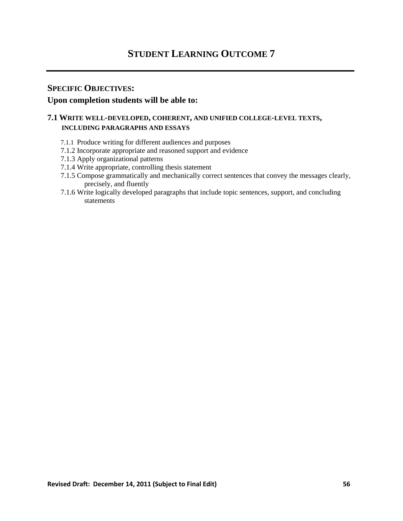# **STUDENT LEARNING OUTCOME 7**

# **SPECIFIC OBJECTIVES:**

# **Upon completion students will be able to:**

# **7.1 WRITE WELL-DEVELOPED, COHERENT, AND UNIFIED COLLEGE-LEVEL TEXTS, INCLUDING PARAGRAPHS AND ESSAYS**

- 7.1.1 Produce writing for different audiences and purposes
- 7.1.2 Incorporate appropriate and reasoned support and evidence
- 7.1.3 Apply organizational patterns
- 7.1.4 Write appropriate, controlling thesis statement
- 7.1.5 Compose grammatically and mechanically correct sentences that convey the messages clearly, precisely, and fluently
- 7.1.6 Write logically developed paragraphs that include topic sentences, support, and concluding statements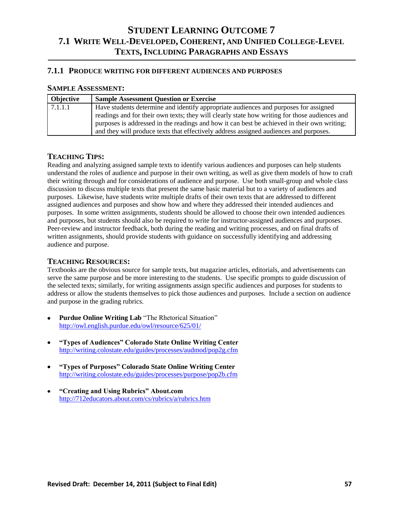### **7.1.1 PRODUCE WRITING FOR DIFFERENT AUDIENCES AND PURPOSES**

#### **SAMPLE ASSESSMENT:**

| Objective | <b>Sample Assessment Question or Exercise</b>                                                 |
|-----------|-----------------------------------------------------------------------------------------------|
| 7.1.1.1   | Have students determine and identify appropriate audiences and purposes for assigned          |
|           | readings and for their own texts; they will clearly state how writing for those audiences and |
|           | purposes is addressed in the readings and how it can best be achieved in their own writing;   |
|           | and they will produce texts that effectively address assigned audiences and purposes.         |

#### **TEACHING TIPS:**

Reading and analyzing assigned sample texts to identify various audiences and purposes can help students understand the roles of audience and purpose in their own writing, as well as give them models of how to craft their writing through and for considerations of audience and purpose. Use both small-group and whole class discussion to discuss multiple texts that present the same basic material but to a variety of audiences and purposes. Likewise, have students write multiple drafts of their own texts that are addressed to different assigned audiences and purposes and show how and where they addressed their intended audiences and purposes. In some written assignments, students should be allowed to choose their own intended audiences and purposes, but students should also be required to write for instructor-assigned audiences and purposes. Peer-review and instructor feedback, both during the reading and writing processes, and on final drafts of written assignments, should provide students with guidance on successfully identifying and addressing audience and purpose.

#### **TEACHING RESOURCES:**

Textbooks are the obvious source for sample texts, but magazine articles, editorials, and advertisements can serve the same purpose and be more interesting to the students. Use specific prompts to guide discussion of the selected texts; similarly, for writing assignments assign specific audiences and purposes for students to address or allow the students themselves to pick those audiences and purposes. Include a section on audience and purpose in the grading rubrics.

- **Purdue Online Writing Lab** "The Rhetorical Situation" <http://owl.english.purdue.edu/owl/resource/625/01/>
- **"Types of Audiences" Colorado State Online Writing Center** <http://writing.colostate.edu/guides/processes/audmod/pop2g.cfm>
- **"Types of Purposes" Colorado State Online Writing Center** <http://writing.colostate.edu/guides/processes/purpose/pop2b.cfm>
- **"Creating and Using Rubrics" About.com** <http://712educators.about.com/cs/rubrics/a/rubrics.htm>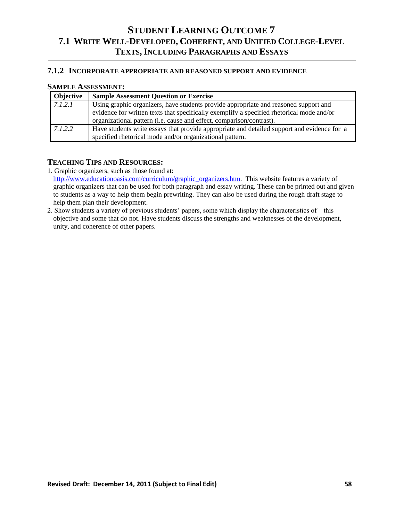#### **7.1.2 INCORPORATE APPROPRIATE AND REASONED SUPPORT AND EVIDENCE**

### **SAMPLE ASSESSMENT:**

| <b>Objective</b> | <b>Sample Assessment Question or Exercise</b>                                                                                                                                                                                                             |
|------------------|-----------------------------------------------------------------------------------------------------------------------------------------------------------------------------------------------------------------------------------------------------------|
| 7.1.2.1          | Using graphic organizers, have students provide appropriate and reasoned support and<br>evidence for written texts that specifically exemplify a specified rhetorical mode and/or<br>organizational pattern (i.e. cause and effect, comparison/contrast). |
| 7.1.2.2          | Have students write essays that provide appropriate and detailed support and evidence for a<br>specified rhetorical mode and/or organizational pattern.                                                                                                   |

### **TEACHING TIPS AND RESOURCES:**

1. Graphic organizers, such as those found at:

[http://www.educationoasis.com/curriculum/graphic\\_organizers.htm.](http://www.educationoasis.com/curriculum/graphic_organizers.htm) This website features a variety of graphic organizers that can be used for both paragraph and essay writing. These can be printed out and given to students as a way to help them begin prewriting. They can also be used during the rough draft stage to help them plan their development.

2. Show students a variety of previous students' papers, some which display the characteristics of this objective and some that do not. Have students discuss the strengths and weaknesses of the development, unity, and coherence of other papers.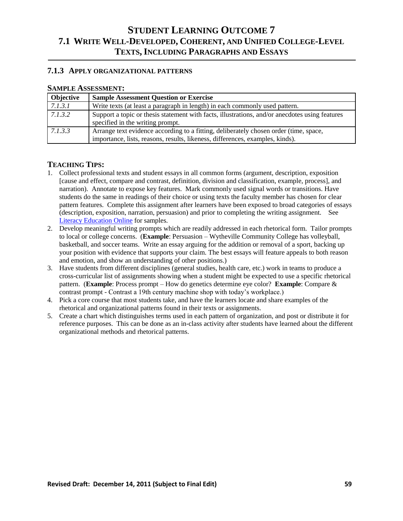### **7.1.3 APPLY ORGANIZATIONAL PATTERNS**

### **SAMPLE ASSESSMENT:**

| <b>Objective</b> | <b>Sample Assessment Question or Exercise</b>                                                                                                                          |
|------------------|------------------------------------------------------------------------------------------------------------------------------------------------------------------------|
| 7.1.3.1          | Write texts (at least a paragraph in length) in each commonly used pattern.                                                                                            |
| 7.1.3.2          | Support a topic or thesis statement with facts, illustrations, and/or anecdotes using features<br>specified in the writing prompt.                                     |
| 7.1.3.3          | Arrange text evidence according to a fitting, deliberately chosen order (time, space,<br>importance, lists, reasons, results, likeness, differences, examples, kinds). |

- 1. Collect professional texts and student essays in all common forms (argument, description, exposition [cause and effect, compare and contrast, definition, division and classification, example, process], and narration). Annotate to expose key features. Mark commonly used signal words or transitions. Have students do the same in readings of their choice or using texts the faculty member has chosen for clear pattern features. Complete this assignment after learners have been exposed to broad categories of essays (description, exposition, narration, persuasion) and prior to completing the writing assignment. See [Literacy Education Online](http://leo.stcloudstate.edu/) for samples.
- 2. Develop meaningful writing prompts which are readily addressed in each rhetorical form. Tailor prompts to local or college concerns. (**Example**: Persuasion – Wytheville Community College has volleyball, basketball, and soccer teams. Write an essay arguing for the addition or removal of a sport, backing up your position with evidence that supports your claim. The best essays will feature appeals to both reason and emotion, and show an understanding of other positions.)
- 3. Have students from different disciplines (general studies, health care, etc.) work in teams to produce a cross-curricular list of assignments showing when a student might be expected to use a specific rhetorical pattern. (**Example**: Process prompt – How do genetics determine eye color? **Example**: Compare & contrast prompt - Contrast a 19th century machine shop with today's workplace.)
- 4. Pick a core course that most students take, and have the learners locate and share examples of the rhetorical and organizational patterns found in their texts or assignments.
- 5. Create a chart which distinguishes terms used in each pattern of organization, and post or distribute it for reference purposes. This can be done as an in-class activity after students have learned about the different organizational methods and rhetorical patterns.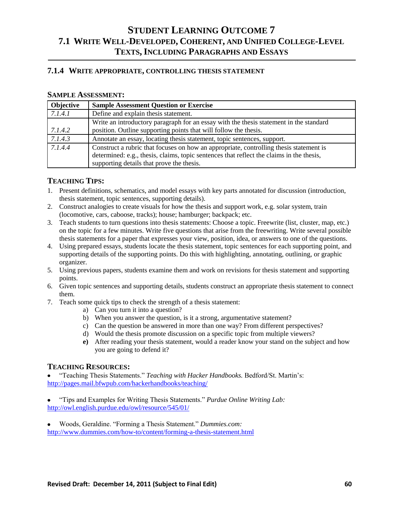### **7.1.4 WRITE APPROPRIATE, CONTROLLING THESIS STATEMENT**

#### **SAMPLE ASSESSMENT:**

| <b>Objective</b> | <b>Sample Assessment Question or Exercise</b>                                            |
|------------------|------------------------------------------------------------------------------------------|
| 7.1.4.1          | Define and explain thesis statement.                                                     |
|                  | Write an introductory paragraph for an essay with the thesis statement in the standard   |
| 7.1.4.2          | position. Outline supporting points that will follow the thesis.                         |
| 7.1.4.3          | Annotate an essay, locating thesis statement, topic sentences, support.                  |
| 7.1.4.4          | Construct a rubric that focuses on how an appropriate, controlling thesis statement is   |
|                  | determined: e.g., thesis, claims, topic sentences that reflect the claims in the thesis, |
|                  | supporting details that prove the thesis.                                                |

# **TEACHING TIPS:**

- 1. Present definitions, schematics, and model essays with key parts annotated for discussion (introduction, thesis statement, topic sentences, supporting details).
- 2. Construct analogies to create visuals for how the thesis and support work, e.g. solar system, train (locomotive, cars, caboose, tracks); house; hamburger; backpack; etc.
- 3. Teach students to turn questions into thesis statements: Choose a topic. Freewrite (list, cluster, map, etc.) on the topic for a few minutes. Write five questions that arise from the freewriting. Write several possible thesis statements for a paper that expresses your view, position, idea, or answers to one of the questions.
- 4. Using prepared essays, students locate the thesis statement, topic sentences for each supporting point, and supporting details of the supporting points. Do this with highlighting, annotating, outlining, or graphic organizer.
- 5. Using previous papers, students examine them and work on revisions for thesis statement and supporting points.
- 6. Given topic sentences and supporting details, students construct an appropriate thesis statement to connect them.
- 7. Teach some quick tips to check the strength of a thesis statement:
	- a) Can you turn it into a question?
	- b) When you answer the question, is it a strong, argumentative statement?
	- c) Can the question be answered in more than one way? From different perspectives?
	- d) Would the thesis promote discussion on a specific topic from multiple viewers?
	- **e)** After reading your thesis statement, would a reader know your stand on the subject and how you are going to defend it?

#### **TEACHING RESOURCES:**

 $\bullet$ ―Teaching Thesis Statements.‖ *Teaching with Hacker Handbooks.* Bedford/St. Martin's: <http://pages.mail.bfwpub.com/hackerhandbooks/teaching/>

―Tips and Examples for Writing Thesis Statements.‖ *Purdue Online Writing Lab:* <http://owl.english.purdue.edu/owl/resource/545/01/>

Woods, Geraldine. "Forming a Thesis Statement." *Dummies.com:* <http://www.dummies.com/how-to/content/forming-a-thesis-statement.html>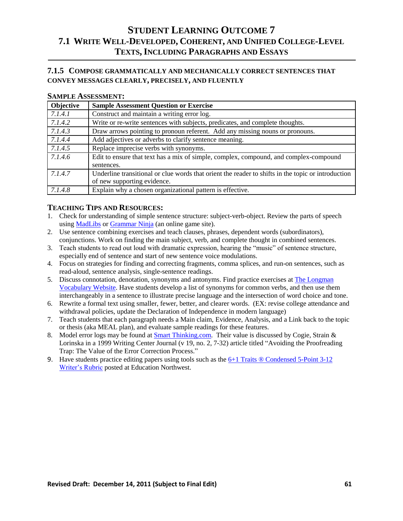# **7.1.5 COMPOSE GRAMMATICALLY AND MECHANICALLY CORRECT SENTENCES THAT CONVEY MESSAGES CLEARLY, PRECISELY, AND FLUENTLY**

#### **SAMPLE ASSESSMENT:**

| Objective | <b>Sample Assessment Question or Exercise</b>                                                      |
|-----------|----------------------------------------------------------------------------------------------------|
| 7.1.4.1   | Construct and maintain a writing error log.                                                        |
| 7.1.4.2   | Write or re-write sentences with subjects, predicates, and complete thoughts.                      |
| 7.1.4.3   | Draw arrows pointing to pronoun referent. Add any missing nouns or pronouns.                       |
| 7.1.4.4   | Add adjectives or adverbs to clarify sentence meaning.                                             |
| 7.1.4.5   | Replace imprecise verbs with synonyms.                                                             |
| 7.1.4.6   | Edit to ensure that text has a mix of simple, complex, compound, and complex-compound              |
|           | sentences.                                                                                         |
| 7.1.4.7   | Underline transitional or clue words that orient the reader to shifts in the topic or introduction |
|           | of new supporting evidence.                                                                        |
| 7.1.4.8   | Explain why a chosen organizational pattern is effective.                                          |

- 1. Check for understanding of simple sentence structure: subject-verb-object. Review the parts of speech using [MadLibs](http://www.rinkworks.com/crazytales/) or [Grammar Ninja](http://www.kwarp.com/portfolio/grammarninja.html) (an online game site).
- 2. Use sentence combining exercises and teach clauses, phrases, dependent words (subordinators), conjunctions. Work on finding the main subject, verb, and complete thought in combined sentences.
- 3. Teach students to read out loud with dramatic expression, hearing the "music" of sentence structure, especially end of sentence and start of new sentence voice modulations.
- 4. Focus on strategies for finding and correcting fragments, comma splices, and run-on sentences, such as read-aloud, sentence analysis, single-sentence readings.
- 5. Discuss connotation, denotation, synonyms and antonyms. Find practice exercises at [The Longman](http://wps.ablongman.com/long_licklider_vocabulary_1/)  [Vocabulary Website.](http://wps.ablongman.com/long_licklider_vocabulary_1/) Have students develop a list of synonyms for common verbs, and then use them interchangeably in a sentence to illustrate precise language and the intersection of word choice and tone.
- 6. Rewrite a formal text using smaller, fewer, better, and clearer words. (EX: revise college attendance and withdrawal policies, update the Declaration of Independence in modern language)
- 7. Teach students that each paragraph needs a Main claim, Evidence, Analysis, and a Link back to the topic or thesis (aka MEAL plan), and evaluate sample readings for these features.
- 8. Model error logs may be found at [Smart Thinking.com.](http://services.smarthinking.com/static/Document_Library/docs/writeman/5_12.cfm) Their value is discussed by Cogie, Strain & Lorinska in a 1999 Writing Center Journal (v 19, no. 2, 7-32) article titled "Avoiding the Proofreading Trap: The Value of the Error Correction Process."
- 9. Have students practice editing papers using tools such as the  $6+1$  Traits  $\circledR$  Condensed 5-Point 3-12 [Writer's Rubric](http://educationnorthwest.org/webfm_send/147) posted at Education Northwest.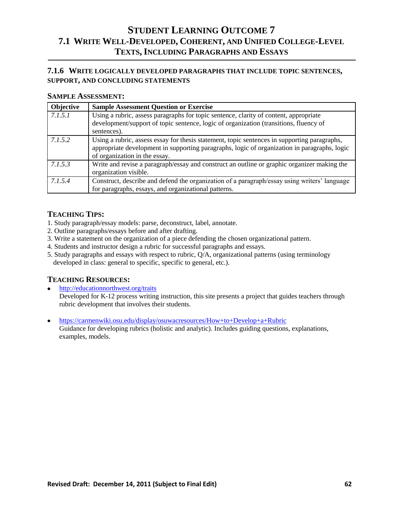# **7.1.6 WRITE LOGICALLY DEVELOPED PARAGRAPHS THAT INCLUDE TOPIC SENTENCES, SUPPORT, AND CONCLUDING STATEMENTS**

### **SAMPLE ASSESSMENT:**

| Objective | <b>Sample Assessment Question or Exercise</b>                                                                                                                                                                                 |
|-----------|-------------------------------------------------------------------------------------------------------------------------------------------------------------------------------------------------------------------------------|
| 7.1.5.1   | Using a rubric, assess paragraphs for topic sentence, clarity of content, appropriate<br>development/support of topic sentence, logic of organization (transitions, fluency of<br>sentences).                                 |
| 7.1.5.2   | Using a rubric, assess essay for thesis statement, topic sentences in supporting paragraphs,<br>appropriate development in supporting paragraphs, logic of organization in paragraphs, logic<br>of organization in the essay. |
| 7.1.5.3   | Write and revise a paragraph/essay and construct an outline or graphic organizer making the<br>organization visible.                                                                                                          |
| 7.1.5.4   | Construct, describe and defend the organization of a paragraph/essay using writers' language<br>for paragraphs, essays, and organizational patterns.                                                                          |

# **TEACHING TIPS:**

- 1. Study paragraph/essay models: parse, deconstruct, label, annotate.
- 2. Outline paragraphs/essays before and after drafting.
- 3. Write a statement on the organization of a piece defending the chosen organizational pattern.
- 4. Students and instructor design a rubric for successful paragraphs and essays.
- 5. Study paragraphs and essays with respect to rubric, Q/A, organizational patterns (using terminology developed in class: general to specific, specific to general, etc.).

# **TEACHING RESOURCES:**

- <http://educationnorthwest.org/traits> Developed for K-12 process writing instruction, this site presents a project that guides teachers through rubric development that involves their students.
- <https://carmenwiki.osu.edu/display/osuwacresources/How+to+Develop+a+Rubric>

Guidance for developing rubrics (holistic and analytic). Includes guiding questions, explanations, examples, models.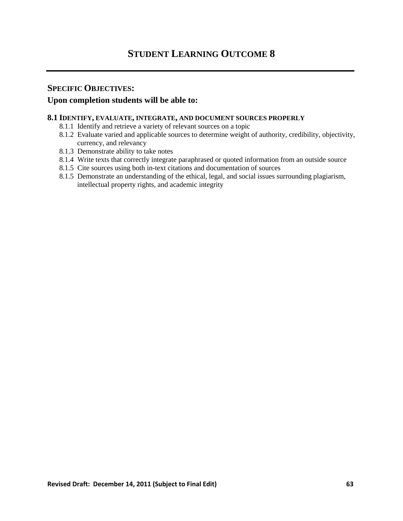# **SPECIFIC OBJECTIVES:**

# **Upon completion students will be able to:**

#### **8.1 IDENTIFY, EVALUATE, INTEGRATE, AND DOCUMENT SOURCES PROPERLY**

- 8.1.1 Identify and retrieve a variety of relevant sources on a topic
- 8.1.2 Evaluate varied and applicable sources to determine weight of authority, credibility, objectivity, currency, and relevancy
- 8.1.3 Demonstrate ability to take notes
- 8.1.4 Write texts that correctly integrate paraphrased or quoted information from an outside source
- 8.1.5 Cite sources using both in-text citations and documentation of sources
- 8.1.5 Demonstrate an understanding of the ethical, legal, and social issues surrounding plagiarism, intellectual property rights, and academic integrity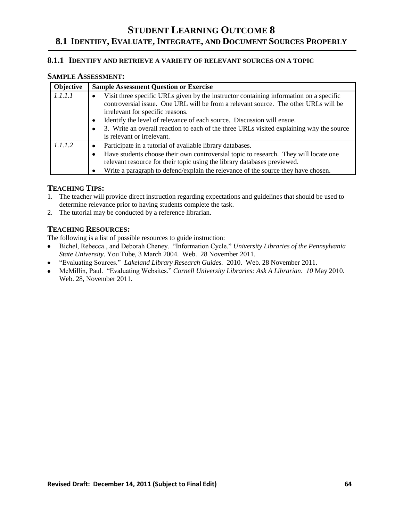#### **8.1.1 IDENTIFY AND RETRIEVE A VARIETY OF RELEVANT SOURCES ON A TOPIC**

### **SAMPLE ASSESSMENT:**

| Objective | <b>Sample Assessment Question or Exercise</b>                                                                                                                                                                                                                                                                                                                                                                         |
|-----------|-----------------------------------------------------------------------------------------------------------------------------------------------------------------------------------------------------------------------------------------------------------------------------------------------------------------------------------------------------------------------------------------------------------------------|
| 1.1.1.1   | Visit three specific URLs given by the instructor containing information on a specific<br>controversial issue. One URL will be from a relevant source. The other URLs will be<br>irrelevant for specific reasons.<br>Identify the level of relevance of each source. Discussion will ensue.<br>3. Write an overall reaction to each of the three URLs visited explaining why the source<br>is relevant or irrelevant. |
| 1.1.1.2   | Participate in a tutorial of available library databases.<br>Have students choose their own controversial topic to research. They will locate one<br>relevant resource for their topic using the library databases previewed.<br>Write a paragraph to defend/explain the relevance of the source they have chosen.                                                                                                    |

# **TEACHING TIPS:**

- 1. The teacher will provide direct instruction regarding expectations and guidelines that should be used to determine relevance prior to having students complete the task.
- 2. The tutorial may be conducted by a reference librarian.

## **TEACHING RESOURCES:**

The following is a list of possible resources to guide instruction:

- Bichel, Rebecca., and Deborah Cheney. ―Information Cycle.‖ *University Libraries of the Pennsylvania State University*. You Tube, 3 March 2004. Web. 28 November 2011.
- ―Evaluating Sources.‖ *Lakeland Library Research Guides.* 2010. Web. 28 November 2011.
- McMillin, Paul. "Evaluating Websites." *Cornell University Libraries: Ask A Librarian. 10 May 2010.* Web. 28, November 2011.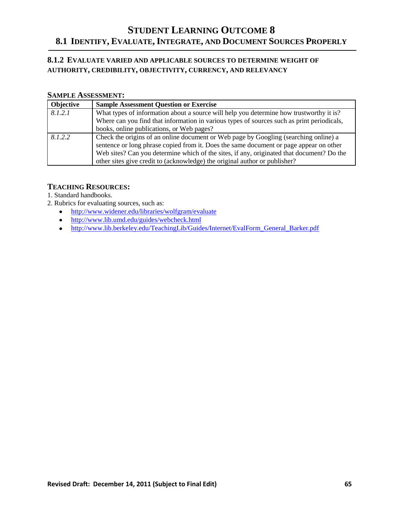# **8.1.2 EVALUATE VARIED AND APPLICABLE SOURCES TO DETERMINE WEIGHT OF AUTHORITY, CREDIBILITY, OBJECTIVITY, CURRENCY, AND RELEVANCY**

# **SAMPLE ASSESSMENT:**

| <b>Objective</b> | <b>Sample Assessment Question or Exercise</b>                                                                                                                                                                                                                                                                                                             |
|------------------|-----------------------------------------------------------------------------------------------------------------------------------------------------------------------------------------------------------------------------------------------------------------------------------------------------------------------------------------------------------|
| 8.1.2.1          | What types of information about a source will help you determine how trustworthy it is?                                                                                                                                                                                                                                                                   |
|                  | Where can you find that information in various types of sources such as print periodicals,                                                                                                                                                                                                                                                                |
|                  | books, online publications, or Web pages?                                                                                                                                                                                                                                                                                                                 |
| 8.1.2.2          | Check the origins of an online document or Web page by Googling (searching online) a<br>sentence or long phrase copied from it. Does the same document or page appear on other<br>Web sites? Can you determine which of the sites, if any, originated that document? Do the<br>other sites give credit to (acknowledge) the original author or publisher? |

### **TEACHING RESOURCES:**

1. Standard handbooks.

- 2. Rubrics for evaluating sources, such as:
	- <http://www.widener.edu/libraries/wolfgram/evaluate>
	- <http://www.lib.umd.edu/guides/webcheck.html>
	- [http://www.lib.berkeley.edu/TeachingLib/Guides/Internet/EvalForm\\_General\\_Barker.pdf](http://www.lib.berkeley.edu/TeachingLib/Guides/Internet/EvalForm_General_Barker.pdf)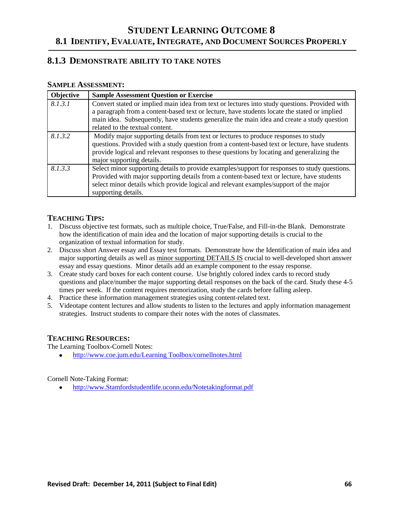# **8.1.3 DEMONSTRATE ABILITY TO TAKE NOTES**

### **SAMPLE ASSESSMENT:**

| Objective | <b>Sample Assessment Question or Exercise</b>                                                                                                                                                                                                                                                                   |
|-----------|-----------------------------------------------------------------------------------------------------------------------------------------------------------------------------------------------------------------------------------------------------------------------------------------------------------------|
| 8.1.3.1   | Convert stated or implied main idea from text or lectures into study questions. Provided with<br>a paragraph from a content-based text or lecture, have students locate the stated or implied                                                                                                                   |
|           | main idea. Subsequently, have students generalize the main idea and create a study question<br>related to the textual content.                                                                                                                                                                                  |
| 8.1.3.2   | Modify major supporting details from text or lectures to produce responses to study<br>questions. Provided with a study question from a content-based text or lecture, have students<br>provide logical and relevant responses to these questions by locating and generalizing the<br>major supporting details. |
| 8.1.3.3   | Select minor supporting details to provide examples/support for responses to study questions.<br>Provided with major supporting details from a content-based text or lecture, have students<br>select minor details which provide logical and relevant examples/support of the major<br>supporting details.     |

# **TEACHING TIPS:**

- 1. Discuss objective test formats, such as multiple choice, True/False, and Fill-in-the Blank. Demonstrate how the identification of main idea and the location of major supporting details is crucial to the organization of textual information for study.
- 2. Discuss short Answer essay and Essay test formats. Demonstrate how the Identification of main idea and major supporting details as well as minor supporting DETAILS IS crucial to well-developed short answer essay and essay questions. Minor details add an example component to the essay response.
- 3. Create study card boxes for each content course. Use brightly colored index cards to record study questions and place/number the major supporting detail responses on the back of the card. Study these 4-5 times per week. If the content requires memorization, study the cards before falling asleep.
- 4. Practice these information management strategies using content-related text.
- 5. Videotape content lectures and allow students to listen to the lectures and apply information management strategies. Instruct students to compare their notes with the notes of classmates.

# **TEACHING RESOURCES:**

The Learning Toolbox-Cornell Notes:

[http://www.coe.jum.edu/Learning Toolbox/cornellnotes.html](http://www.coe.jum.edu/Learning%20Toolbox/cornellnotes.html)

Cornell Note-Taking Format:

[http://www.Stamfordstudentlife.uconn.edu/Notetakingformat.pdf](http://www.stamfordstudentlife.uconn.edu/Notetakingformat.pdf)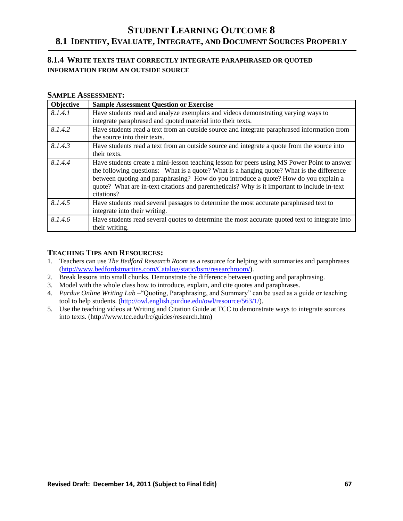# **8.1.4 WRITE TEXTS THAT CORRECTLY INTEGRATE PARAPHRASED OR QUOTED INFORMATION FROM AN OUTSIDE SOURCE**

#### **SAMPLE ASSESSMENT:**

| Objective | <b>Sample Assessment Question or Exercise</b>                                                                                                                                                                                                                                                                                                                                                  |
|-----------|------------------------------------------------------------------------------------------------------------------------------------------------------------------------------------------------------------------------------------------------------------------------------------------------------------------------------------------------------------------------------------------------|
| 8.1.4.1   | Have students read and analyze exemplars and videos demonstrating varying ways to<br>integrate paraphrased and quoted material into their texts.                                                                                                                                                                                                                                               |
| 8.1.4.2   | Have students read a text from an outside source and integrate paraphrased information from<br>the source into their texts.                                                                                                                                                                                                                                                                    |
| 8.1.4.3   | Have students read a text from an outside source and integrate a quote from the source into<br>their texts.                                                                                                                                                                                                                                                                                    |
| 8.1.4.4   | Have students create a mini-lesson teaching lesson for peers using MS Power Point to answer<br>the following questions: What is a quote? What is a hanging quote? What is the difference<br>between quoting and paraphrasing? How do you introduce a quote? How do you explain a<br>quote? What are in-text citations and parentheticals? Why is it important to include in-text<br>citations? |
| 8.1.4.5   | Have students read several passages to determine the most accurate paraphrased text to<br>integrate into their writing.                                                                                                                                                                                                                                                                        |
| 8.1.4.6   | Have students read several quotes to determine the most accurate quoted text to integrate into<br>their writing.                                                                                                                                                                                                                                                                               |

- 1. Teachers can use *The Bedford Research Room* as a resource for helping with summaries and paraphrases [\(http://www.bedfordstmartins.com/Catalog/static/bsm/researchroom/\)](http://www.bedfordstmartins.com/Catalog/static/bsm/researchroom/).
- 2. Break lessons into small chunks. Demonstrate the difference between quoting and paraphrasing.
- 3. Model with the whole class how to introduce, explain, and cite quotes and paraphrases.
- 4. *Purdue Online Writing Lab* "Quoting, Paraphrasing, and Summary" can be used as a guide or teaching tool to help students. [\(http://owl.english.purdue.edu/owl/resource/563/1/\)](http://owl.english.purdue.edu/owl/resource/563/1/).
- 5. Use the teaching videos at Writing and Citation Guide at TCC to demonstrate ways to integrate sources into texts. (http://www.tcc.edu/lrc/guides/research.htm)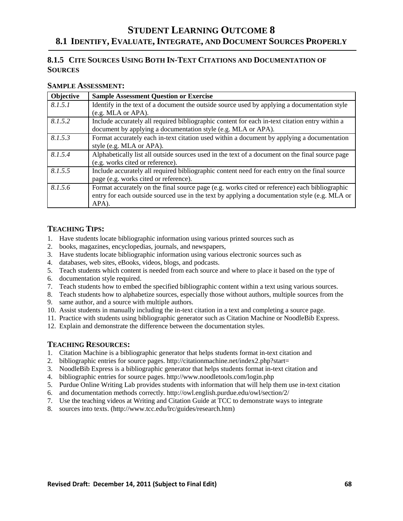# **8.1.5 CITE SOURCES USING BOTH IN-TEXT CITATIONS AND DOCUMENTATION OF SOURCES**

### **SAMPLE ASSESSMENT:**

| Objective | <b>Sample Assessment Question or Exercise</b>                                                   |
|-----------|-------------------------------------------------------------------------------------------------|
| 8.1.5.1   | Identify in the text of a document the outside source used by applying a documentation style    |
|           | (e.g. MLA or APA).                                                                              |
| 8.1.5.2   | Include accurately all required bibliographic content for each in-text citation entry within a  |
|           | document by applying a documentation style (e.g. MLA or APA).                                   |
| 8.1.5.3   | Format accurately each in-text citation used within a document by applying a documentation      |
|           | style (e.g. MLA or APA).                                                                        |
| 8.1.5.4   | Alphabetically list all outside sources used in the text of a document on the final source page |
|           | (e.g. works cited or reference).                                                                |
| 8.1.5.5   | Include accurately all required bibliographic content need for each entry on the final source   |
|           | page (e.g. works cited or reference).                                                           |
| 8.1.5.6   | Format accurately on the final source page (e.g. works cited or reference) each bibliographic   |
|           | entry for each outside sourced use in the text by applying a documentation style (e.g. MLA or   |
|           | APA).                                                                                           |

# **TEACHING TIPS:**

- 1. Have students locate bibliographic information using various printed sources such as
- 2. books, magazines, encyclopedias, journals, and newspapers,
- 3. Have students locate bibliographic information using various electronic sources such as
- 4. databases, web sites, eBooks, videos, blogs, and podcasts.
- 5. Teach students which content is needed from each source and where to place it based on the type of
- 6. documentation style required.
- 7. Teach students how to embed the specified bibliographic content within a text using various sources.
- 8. Teach students how to alphabetize sources, especially those without authors, multiple sources from the
- 9. same author, and a source with multiple authors.
- 10. Assist students in manually including the in-text citation in a text and completing a source page.
- 11. Practice with students using bibliographic generator such as Citation Machine or NoodleBib Express.
- 12. Explain and demonstrate the difference between the documentation styles.

- 1. Citation Machine is a bibliographic generator that helps students format in-text citation and
- 2. bibliographic entries for source pages. http://citationmachine.net/index2.php?start=
- 3. NoodleBib Express is a bibliographic generator that helps students format in-text citation and
- 4. bibliographic entries for source pages. http://www.noodletools.com/login.php
- 5. Purdue Online Writing Lab provides students with information that will help them use in-text citation
- 6. and documentation methods correctly. http://owl.english.purdue.edu/owl/section/2/
- 7. Use the teaching videos at Writing and Citation Guide at TCC to demonstrate ways to integrate
- 8. sources into texts. (http://www.tcc.edu/lrc/guides/research.htm)